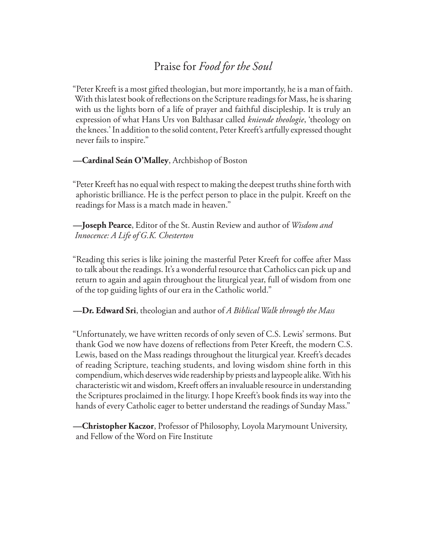# Praise for *Food for the Soul*

"Peter Kreeft is a most gifted theologian, but more importantly, he is a man of faith. With this latest book of reflections on the Scripture readings for Mass, he is sharing with us the lights born of a life of prayer and faithful discipleship. It is truly an expression of what Hans Urs von Balthasar called *kniende theologie*, 'theology on the knees.' In addition to the solid content, Peter Kreeft's artfully expressed thought never fails to inspire."

**—Cardinal Seán O'Malley**, Archbishop of Boston

"Peter Kreeft has no equal with respect to making the deepest truths shine forth with aphoristic brilliance. He is the perfect person to place in the pulpit. Kreeft on the readings for Mass is a match made in heaven."

**—Joseph Pearce**, Editor of the St. Austin Review and author of *Wisdom and Innocence: A Life of G.K. Chesterton*

"Reading this series is like joining the masterful Peter Kreeft for coffee after Mass to talk about the readings. It's a wonderful resource that Catholics can pick up and return to again and again throughout the liturgical year, full of wisdom from one of the top guiding lights of our era in the Catholic world."

**—Dr. Edward Sri**, theologian and author of *A Biblical Walk through the Mass*

"Unfortunately, we have written records of only seven of C.S. Lewis' sermons. But thank God we now have dozens of reflections from Peter Kreeft, the modern C.S. Lewis, based on the Mass readings throughout the liturgical year. Kreeft's decades of reading Scripture, teaching students, and loving wisdom shine forth in this compendium, which deserves wide readership by priests and laypeople alike. With his characteristic wit and wisdom, Kreeft offers an invaluable resource in understanding the Scriptures proclaimed in the liturgy. I hope Kreeft's book finds its way into the hands of every Catholic eager to better understand the readings of Sunday Mass."

**—Christopher Kaczor**, Professor of Philosophy, Loyola Marymount University, and Fellow of the Word on Fire Institute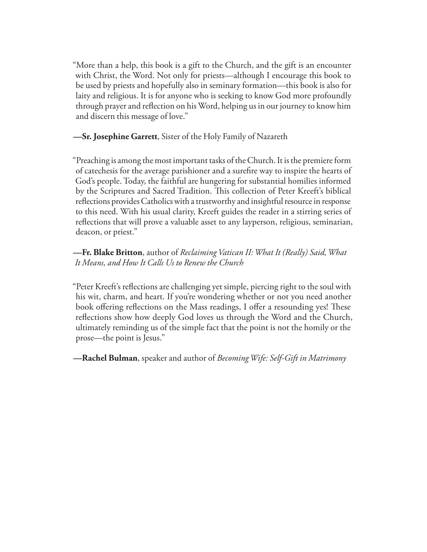"More than a help, this book is a gift to the Church, and the gift is an encounter with Christ, the Word. Not only for priests—although I encourage this book to be used by priests and hopefully also in seminary formation—this book is also for laity and religious. It is for anyone who is seeking to know God more profoundly through prayer and reflection on his Word, helping us in our journey to know him and discern this message of love."

**—Sr. Josephine Garrett**, Sister of the Holy Family of Nazareth

"Preaching is among the most important tasks of the Church. It is the premiere form of cate chesis for the average parishioner and a sure fire way to inspire the hearts of God's people. Today, the faithful are hungering for substantial homilies informed by the Scriptures and Sacred Tradition. This collection of Peter Kreeft's biblical reflections provides Catholics with a trustworthy and insightful resource in response to this need. With his usual clarity, Kreeft guides the reader in a stirring series of reflections that will prove a valuable asset to any layperson, religious, seminarian, deacon, or priest."

**—Fr. Blake Britton**, author of *Reclaiming Vatican II: What It (Really) Said, What It Means, and How It Calls Us to Renew the Church*

"Peter Kreeft's reflections are challenging yet simple, piercing right to the soul with his wit, charm, and heart. If you're wondering whether or not you need another book offering reflections on the Mass readings, I offer a resounding yes! These reflections show how deeply God loves us through the Word and the Church, ultimately reminding us of the simple fact that the point is not the homily or the prose—the point is Jesus."

**—Rachel Bulman**, speaker and author of *Becoming Wife: Self-Gift in Matrimony*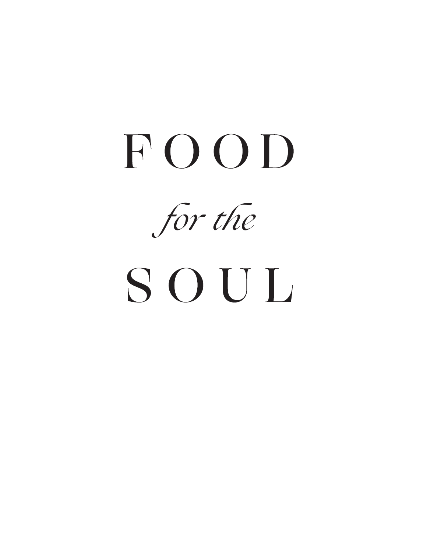# FOOD

for the

# SOUL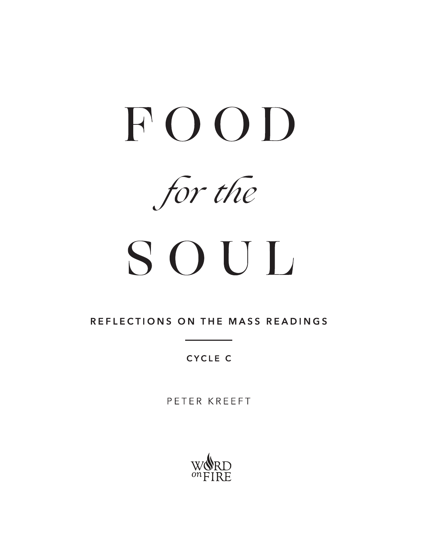

for the

# SOUL

REFLECTIONS ON THE MASS READINGS

**CYCLE C** 

PETER KREEFT

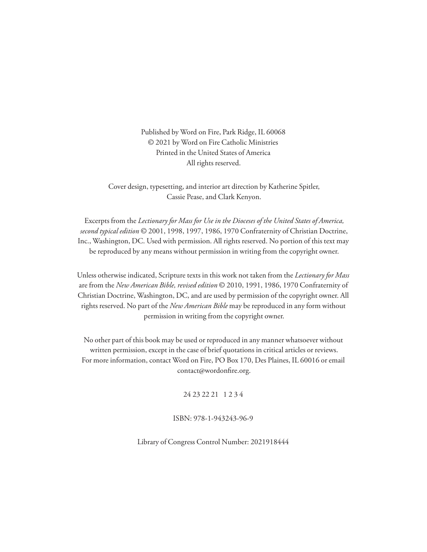Published by Word on Fire, Park Ridge, IL 60068 © 2021 by Word on Fire Catholic Ministries Printed in the United States of America All rights reserved.

Cover design, typesetting, and interior art direction by Katherine Spitler, Cassie Pease, and Clark Kenyon.

Excerpts from the *Lectionary for Mass for Use in the Dioceses of the United States of America, second typical edition* © 2001, 1998, 1997, 1986, 1970 Confraternity of Christian Doctrine, Inc., Washington, DC. Used with permission. All rights reserved. No portion of this text may be reproduced by any means without permission in writing from the copyright owner.

Unless otherwise indicated, Scripture texts in this work not taken from the *Lectionary for Mass*  are from the *New American Bible, revised edition* © 2010, 1991, 1986, 1970 Confraternity of Christian Doctrine, Washington, DC, and are used by permission of the copyright owner. All rights reserved. No part of the *New American Bible* may be reproduced in any form without permission in writing from the copyright owner.

No other part of this book may be used or reproduced in any manner whatsoever without written permission, except in the case of brief quotations in critical articles or reviews. For more information, contact Word on Fire, PO Box 170, Des Plaines, IL 60016 or email contact@wordonfire.org.

24 23 22 21 1 2 3 4

ISBN: 978-1-943243-96-9

Library of Congress Control Number: 2021918444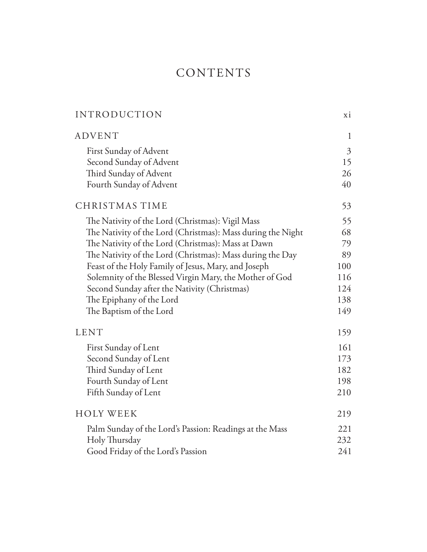# CONTENTS

| <b>ADVENT</b><br>1<br>$\mathfrak{Z}$<br>First Sunday of Advent<br>Second Sunday of Advent<br>15<br>Third Sunday of Advent<br>26<br>Fourth Sunday of Advent<br>40<br>CHRISTMAS TIME<br>53<br>55<br>The Nativity of the Lord (Christmas): Vigil Mass<br>The Nativity of the Lord (Christmas): Mass during the Night<br>68<br>The Nativity of the Lord (Christmas): Mass at Dawn<br>79<br>The Nativity of the Lord (Christmas): Mass during the Day<br>89<br>Feast of the Holy Family of Jesus, Mary, and Joseph<br>100<br>Solemnity of the Blessed Virgin Mary, the Mother of God<br>116<br>124<br>Second Sunday after the Nativity (Christmas)<br>The Epiphany of the Lord<br>138<br>The Baptism of the Lord<br>149<br><b>LENT</b><br>159<br>161<br>First Sunday of Lent<br>Second Sunday of Lent<br>173 |
|---------------------------------------------------------------------------------------------------------------------------------------------------------------------------------------------------------------------------------------------------------------------------------------------------------------------------------------------------------------------------------------------------------------------------------------------------------------------------------------------------------------------------------------------------------------------------------------------------------------------------------------------------------------------------------------------------------------------------------------------------------------------------------------------------------|
|                                                                                                                                                                                                                                                                                                                                                                                                                                                                                                                                                                                                                                                                                                                                                                                                         |
|                                                                                                                                                                                                                                                                                                                                                                                                                                                                                                                                                                                                                                                                                                                                                                                                         |
|                                                                                                                                                                                                                                                                                                                                                                                                                                                                                                                                                                                                                                                                                                                                                                                                         |
|                                                                                                                                                                                                                                                                                                                                                                                                                                                                                                                                                                                                                                                                                                                                                                                                         |
|                                                                                                                                                                                                                                                                                                                                                                                                                                                                                                                                                                                                                                                                                                                                                                                                         |
|                                                                                                                                                                                                                                                                                                                                                                                                                                                                                                                                                                                                                                                                                                                                                                                                         |
|                                                                                                                                                                                                                                                                                                                                                                                                                                                                                                                                                                                                                                                                                                                                                                                                         |
|                                                                                                                                                                                                                                                                                                                                                                                                                                                                                                                                                                                                                                                                                                                                                                                                         |
|                                                                                                                                                                                                                                                                                                                                                                                                                                                                                                                                                                                                                                                                                                                                                                                                         |
|                                                                                                                                                                                                                                                                                                                                                                                                                                                                                                                                                                                                                                                                                                                                                                                                         |
|                                                                                                                                                                                                                                                                                                                                                                                                                                                                                                                                                                                                                                                                                                                                                                                                         |
|                                                                                                                                                                                                                                                                                                                                                                                                                                                                                                                                                                                                                                                                                                                                                                                                         |
|                                                                                                                                                                                                                                                                                                                                                                                                                                                                                                                                                                                                                                                                                                                                                                                                         |
|                                                                                                                                                                                                                                                                                                                                                                                                                                                                                                                                                                                                                                                                                                                                                                                                         |
|                                                                                                                                                                                                                                                                                                                                                                                                                                                                                                                                                                                                                                                                                                                                                                                                         |
|                                                                                                                                                                                                                                                                                                                                                                                                                                                                                                                                                                                                                                                                                                                                                                                                         |
|                                                                                                                                                                                                                                                                                                                                                                                                                                                                                                                                                                                                                                                                                                                                                                                                         |
|                                                                                                                                                                                                                                                                                                                                                                                                                                                                                                                                                                                                                                                                                                                                                                                                         |
| Third Sunday of Lent<br>182                                                                                                                                                                                                                                                                                                                                                                                                                                                                                                                                                                                                                                                                                                                                                                             |
| Fourth Sunday of Lent<br>198                                                                                                                                                                                                                                                                                                                                                                                                                                                                                                                                                                                                                                                                                                                                                                            |
| Fifth Sunday of Lent<br>210                                                                                                                                                                                                                                                                                                                                                                                                                                                                                                                                                                                                                                                                                                                                                                             |
| <b>HOLY WEEK</b><br>219                                                                                                                                                                                                                                                                                                                                                                                                                                                                                                                                                                                                                                                                                                                                                                                 |
| 221<br>Palm Sunday of the Lord's Passion: Readings at the Mass                                                                                                                                                                                                                                                                                                                                                                                                                                                                                                                                                                                                                                                                                                                                          |
| Holy Thursday<br>232                                                                                                                                                                                                                                                                                                                                                                                                                                                                                                                                                                                                                                                                                                                                                                                    |
| 241<br>Good Friday of the Lord's Passion                                                                                                                                                                                                                                                                                                                                                                                                                                                                                                                                                                                                                                                                                                                                                                |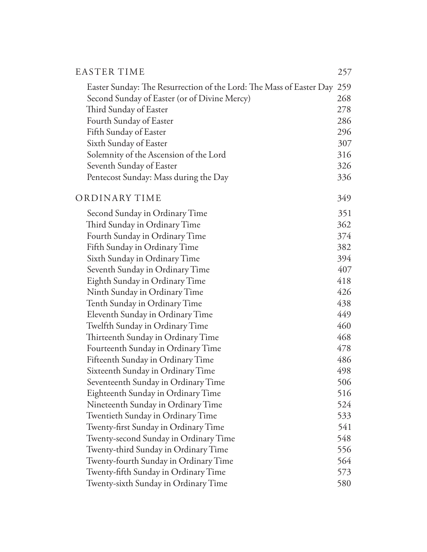| <b>EASTER TIME</b>                                                      | 257 |
|-------------------------------------------------------------------------|-----|
| Easter Sunday: The Resurrection of the Lord: The Mass of Easter Day 259 |     |
| Second Sunday of Easter (or of Divine Mercy)                            | 268 |
| Third Sunday of Easter                                                  | 278 |
| Fourth Sunday of Easter                                                 | 286 |
| Fifth Sunday of Easter                                                  | 296 |
| Sixth Sunday of Easter                                                  | 307 |
| Solemnity of the Ascension of the Lord                                  | 316 |
| Seventh Sunday of Easter                                                | 326 |
| Pentecost Sunday: Mass during the Day                                   | 336 |
| ORDINARY TIME                                                           | 349 |
| Second Sunday in Ordinary Time                                          | 351 |
| Third Sunday in Ordinary Time                                           | 362 |
| Fourth Sunday in Ordinary Time                                          | 374 |
| Fifth Sunday in Ordinary Time                                           | 382 |
| Sixth Sunday in Ordinary Time                                           | 394 |
| Seventh Sunday in Ordinary Time                                         | 407 |
| Eighth Sunday in Ordinary Time                                          | 418 |
| Ninth Sunday in Ordinary Time                                           | 426 |
| Tenth Sunday in Ordinary Time                                           | 438 |
| Eleventh Sunday in Ordinary Time                                        | 449 |
| Twelfth Sunday in Ordinary Time                                         | 460 |
| Thirteenth Sunday in Ordinary Time                                      | 468 |
| Fourteenth Sunday in Ordinary Time                                      | 478 |
| Fifteenth Sunday in Ordinary Time                                       | 486 |
| Sixteenth Sunday in Ordinary Time                                       | 498 |
| Seventeenth Sunday in Ordinary Time                                     | 506 |
| Eighteenth Sunday in Ordinary Time                                      | 516 |
| Nineteenth Sunday in Ordinary Time                                      | 524 |
| Twentieth Sunday in Ordinary Time                                       | 533 |
| Twenty-first Sunday in Ordinary Time                                    | 541 |
| Twenty-second Sunday in Ordinary Time                                   | 548 |
| Twenty-third Sunday in Ordinary Time                                    | 556 |
| Twenty-fourth Sunday in Ordinary Time                                   | 564 |
| Twenty-fifth Sunday in Ordinary Time                                    | 573 |
| Twenty-sixth Sunday in Ordinary Time                                    | 580 |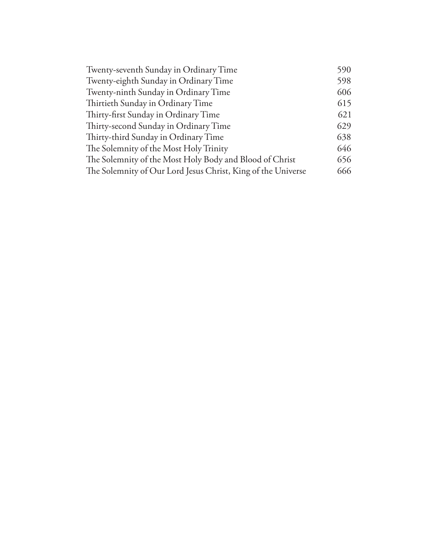| Twenty-seventh Sunday in Ordinary Time                       | 590 |
|--------------------------------------------------------------|-----|
| Twenty-eighth Sunday in Ordinary Time                        | 598 |
| Twenty-ninth Sunday in Ordinary Time                         | 606 |
| Thirtieth Sunday in Ordinary Time                            | 615 |
| Thirty-first Sunday in Ordinary Time                         | 621 |
| Thirty-second Sunday in Ordinary Time                        | 629 |
| Thirty-third Sunday in Ordinary Time                         | 638 |
| The Solemnity of the Most Holy Trinity                       | 646 |
| The Solemnity of the Most Holy Body and Blood of Christ      | 656 |
| The Solemnity of Our Lord Jesus Christ, King of the Universe | 666 |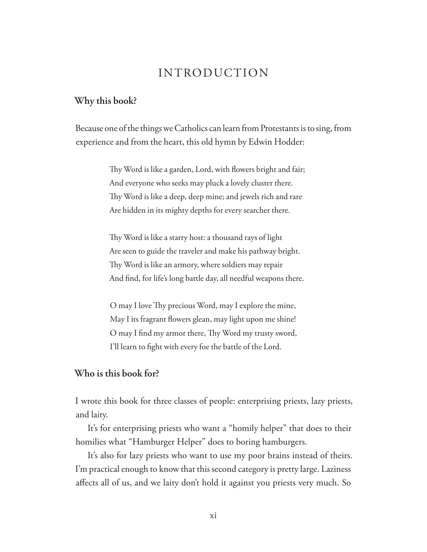### INTRODUCTION

#### **Why this book?**

Because one of the things we Catholics can learn from Protestants is to sing, from experience and from the heart, this old hymn by Edwin Hodder:

> Thy Word is like a garden, Lord, with flowers bright and fair; And everyone who seeks may pluck a lovely cluster there. Thy Word is like a deep, deep mine; and jewels rich and rare Are hidden in its mighty depths for every searcher there.

> Thy Word is like a starry host: a thousand rays of light Are seen to guide the traveler and make his pathway bright. Thy Word is like an armory, where soldiers may repair And find, for life's long battle day, all needful weapons there.

O may I love Thy precious Word, may I explore the mine, May I its fragrant flowers glean, may light upon me shine! O may I find my armor there, Thy Word my trusty sword, I'll learn to fight with every foe the battle of the Lord.

#### **Who is this book for?**

I wrote this book for three classes of people: enterprising priests, lazy priests, and laity.

It's for enterprising priests who want a "homily helper" that does to their homilies what "Hamburger Helper" does to boring hamburgers.

It's also for lazy priests who want to use my poor brains instead of theirs. I'm practical enough to know that this second category is pretty large. Laziness affects all of us, and we laity don't hold it against you priests very much. So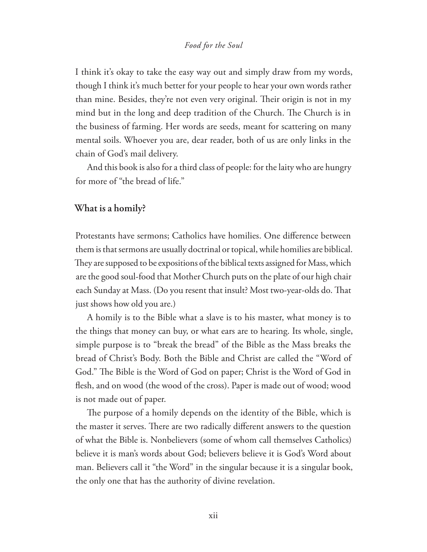#### *Food for the Soul*

I think it's okay to take the easy way out and simply draw from my words, though I think it's much better for your people to hear your own words rather than mine. Besides, they're not even very original. Their origin is not in my mind but in the long and deep tradition of the Church. The Church is in the business of farming. Her words are seeds, meant for scattering on many mental soils. Whoever you are, dear reader, both of us are only links in the chain of God's mail delivery.

And this book is also for a third class of people: for the laity who are hungry for more of "the bread of life."

#### **What is a homily?**

Protestants have sermons; Catholics have homilies. One difference between them is that sermons are usually doctrinal or topical, while homilies are biblical. They are supposed to be expositions of the biblical texts assigned for Mass, which are the good soul-food that Mother Church puts on the plate of our high chair each Sunday at Mass. (Do you resent that insult? Most two-year-olds do. That just shows how old you are.)

A homily is to the Bible what a slave is to his master, what money is to the things that money can buy, or what ears are to hearing. Its whole, single, simple purpose is to "break the bread" of the Bible as the Mass breaks the bread of Christ's Body. Both the Bible and Christ are called the "Word of God." The Bible is the Word of God on paper; Christ is the Word of God in flesh, and on wood (the wood of the cross). Paper is made out of wood; wood is not made out of paper.

The purpose of a homily depends on the identity of the Bible, which is the master it serves. There are two radically different answers to the question of what the Bible is. Nonbelievers (some of whom call themselves Catholics) believe it is man's words about God; believers believe it is God's Word about man. Believers call it "the Word" in the singular because it is a singular book, the only one that has the authority of divine revelation.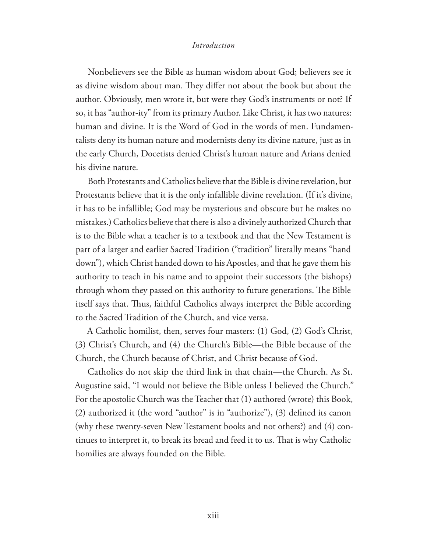#### *Introduction*

Nonbelievers see the Bible as human wisdom about God; believers see it as divine wisdom about man. They differ not about the book but about the author. Obviously, men wrote it, but were they God's instruments or not? If so, it has "author-ity" from its primary Author. Like Christ, it has two natures: human and divine. It is the Word of God in the words of men. Fundamentalists deny its human nature and modernists deny its divine nature, just as in the early Church, Docetists denied Christ's human nature and Arians denied his divine nature.

Both Protestants and Catholics believe that the Bible is divine revelation, but Protestants believe that it is the only infallible divine revelation. (If it's divine, it has to be infallible; God may be mysterious and obscure but he makes no mistakes.) Catholics believe that there is also a divinely authorized Church that is to the Bible what a teacher is to a textbook and that the New Testament is part of a larger and earlier Sacred Tradition ("tradition" literally means "hand down"), which Christ handed down to his Apostles, and that he gave them his authority to teach in his name and to appoint their successors (the bishops) through whom they passed on this authority to future generations. The Bible itself says that. Thus, faithful Catholics always interpret the Bible according to the Sacred Tradition of the Church, and vice versa.

A Catholic homilist, then, serves four masters: (1) God, (2) God's Christ, (3) Christ's Church, and (4) the Church's Bible—the Bible because of the Church, the Church because of Christ, and Christ because of God.

Catholics do not skip the third link in that chain—the Church. As St. Augustine said, "I would not believe the Bible unless I believed the Church." For the apostolic Church was the Teacher that (1) authored (wrote) this Book,  $(2)$  authorized it (the word "author" is in "authorize"),  $(3)$  defined its canon (why these twenty-seven New Testament books and not others?) and (4) continues to interpret it, to break its bread and feed it to us. That is why Catholic homilies are always founded on the Bible.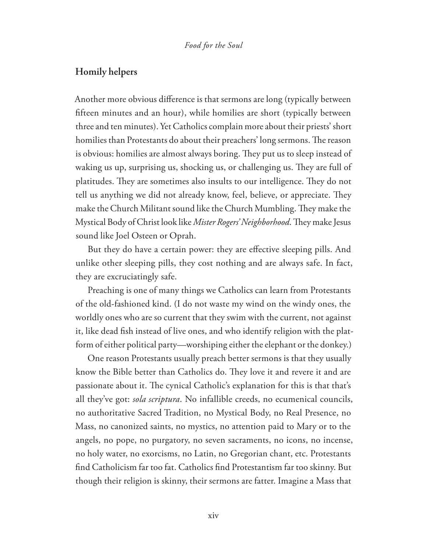#### **Homily helpers**

Another more obvious difference is that sermons are long (typically between fifteen minutes and an hour), while homilies are short (typically between three and ten minutes). Yet Catholics complain more about their priests' short homilies than Protestants do about their preachers' long sermons. The reason is obvious: homilies are almost always boring. They put us to sleep instead of waking us up, surprising us, shocking us, or challenging us. They are full of platitudes. They are sometimes also insults to our intelligence. They do not tell us anything we did not already know, feel, believe, or appreciate. They make the Church Militant sound like the Church Mumbling. They make the Mystical Body of Christ look like *Mister Rogers' Neighborhood*. They make Jesus sound like Joel Osteen or Oprah.

But they do have a certain power: they are effective sleeping pills. And unlike other sleeping pills, they cost nothing and are always safe. In fact, they are excruciatingly safe.

Preaching is one of many things we Catholics can learn from Protestants of the old-fashioned kind. (I do not waste my wind on the windy ones, the worldly ones who are so current that they swim with the current, not against it, like dead fish instead of live ones, and who identify religion with the platform of either political party—worshiping either the elephant or the donkey.)

One reason Protestants usually preach better sermons is that they usually know the Bible better than Catholics do. They love it and revere it and are passionate about it. The cynical Catholic's explanation for this is that that's all they've got: *sola scriptura*. No infallible creeds, no ecumenical councils, no authoritative Sacred Tradition, no Mystical Body, no Real Presence, no Mass, no canonized saints, no mystics, no attention paid to Mary or to the angels, no pope, no purgatory, no seven sacraments, no icons, no incense, no holy water, no exorcisms, no Latin, no Gregorian chant, etc. Protestants find Catholicism far too fat. Catholics find Protestantism far too skinny. But though their religion is skinny, their sermons are fatter. Imagine a Mass that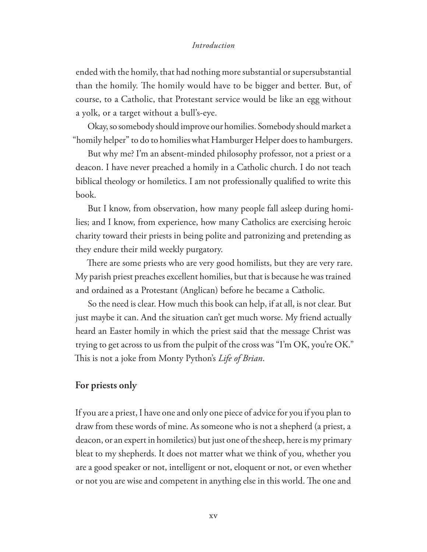#### *Introduction*

ended with the homily, that had nothing more substantial or supersubstantial than the homily. The homily would have to be bigger and better. But, of course, to a Catholic, that Protestant service would be like an egg without a yolk, or a target without a bull's-eye.

Okay, so somebody should improve our homilies. Somebody should market a "homily helper" to do to homilies what Hamburger Helper does to hamburgers.

But why me? I'm an absent-minded philosophy professor, not a priest or a deacon. I have never preached a homily in a Catholic church. I do not teach biblical theology or homiletics. I am not professionally qualified to write this book.

But I know, from observation, how many people fall asleep during homilies; and I know, from experience, how many Catholics are exercising heroic charity toward their priests in being polite and patronizing and pretending as they endure their mild weekly purgatory.

There are some priests who are very good homilists, but they are very rare. My parish priest preaches excellent homilies, but that is because he was trained and ordained as a Protestant (Anglican) before he became a Catholic.

So the need is clear. How much this book can help, if at all, is not clear. But just maybe it can. And the situation can't get much worse. My friend actually heard an Easter homily in which the priest said that the message Christ was trying to get across to us from the pulpit of the cross was "I'm OK, you're OK." This is not a joke from Monty Python's *Life of Brian*.

#### **For priests only**

If you are a priest, I have one and only one piece of advice for you if you plan to draw from these words of mine. As someone who is not a shepherd (a priest, a deacon, or an expert in homiletics) but just one of the sheep, here is my primary bleat to my shepherds. It does not matter what we think of you, whether you are a good speaker or not, intelligent or not, eloquent or not, or even whether or not you are wise and competent in anything else in this world. The one and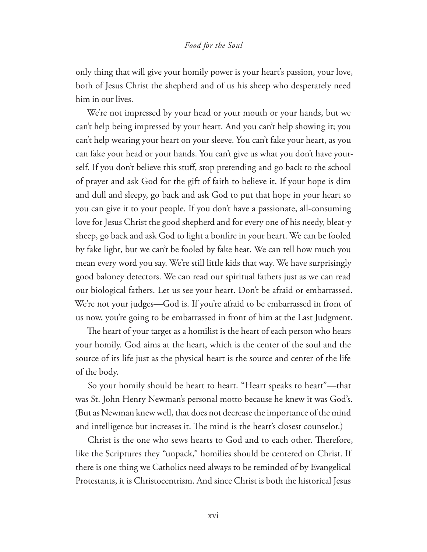#### *Food for the Soul*

only thing that will give your homily power is your heart's passion, your love, both of Jesus Christ the shepherd and of us his sheep who desperately need him in our lives.

We're not impressed by your head or your mouth or your hands, but we can't help being impressed by your heart. And you can't help showing it; you can't help wearing your heart on your sleeve. You can't fake your heart, as you can fake your head or your hands. You can't give us what you don't have yourself. If you don't believe this stuff, stop pretending and go back to the school of prayer and ask God for the gift of faith to believe it. If your hope is dim and dull and sleepy, go back and ask God to put that hope in your heart so you can give it to your people. If you don't have a passionate, all-consuming love for Jesus Christ the good shepherd and for every one of his needy, bleat-y sheep, go back and ask God to light a bonfire in your heart. We can be fooled by fake light, but we can't be fooled by fake heat. We can tell how much you mean every word you say. We're still little kids that way. We have surprisingly good baloney detectors. We can read our spiritual fathers just as we can read our biological fathers. Let us see your heart. Don't be afraid or embarrassed. We're not your judges—God is. If you're afraid to be embarrassed in front of us now, you're going to be embarrassed in front of him at the Last Judgment.

The heart of your target as a homilist is the heart of each person who hears your homily. God aims at the heart, which is the center of the soul and the source of its life just as the physical heart is the source and center of the life of the body.

So your homily should be heart to heart. "Heart speaks to heart"—that was St. John Henry Newman's personal motto because he knew it was God's. (But as Newman knew well, that does not decrease the importance of the mind and intelligence but increases it. The mind is the heart's closest counselor.)

Christ is the one who sews hearts to God and to each other. Therefore, like the Scriptures they "unpack," homilies should be centered on Christ. If there is one thing we Catholics need always to be reminded of by Evangelical Protestants, it is Christocentrism. And since Christ is both the historical Jesus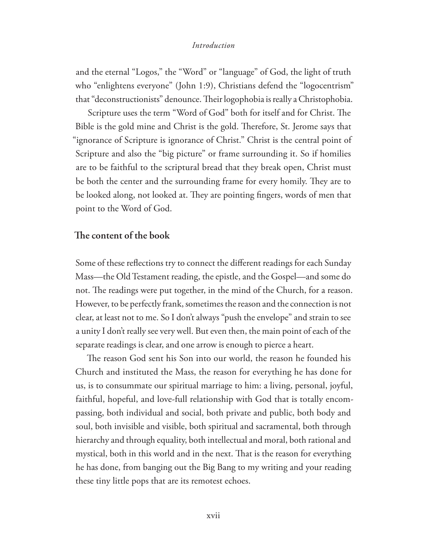#### *Introduction*

and the eternal "Logos," the "Word" or "language" of God, the light of truth who "enlightens everyone" (John 1:9), Christians defend the "logocentrism" that "deconstructionists" denounce. Their logophobia is really a Christophobia.

Scripture uses the term "Word of God" both for itself and for Christ. The Bible is the gold mine and Christ is the gold. Therefore, St. Jerome says that "ignorance of Scripture is ignorance of Christ." Christ is the central point of Scripture and also the "big picture" or frame surrounding it. So if homilies are to be faithful to the scriptural bread that they break open, Christ must be both the center and the surrounding frame for every homily. They are to be looked along, not looked at. They are pointing fingers, words of men that point to the Word of God.

#### **!e content of the book**

Some of these reflections try to connect the different readings for each Sunday Mass—the Old Testament reading, the epistle, and the Gospel—and some do not. The readings were put together, in the mind of the Church, for a reason. However, to be perfectly frank, sometimes the reason and the connection is not clear, at least not to me. So I don't always "push the envelope" and strain to see a unity I don't really see very well. But even then, the main point of each of the separate readings is clear, and one arrow is enough to pierce a heart.

The reason God sent his Son into our world, the reason he founded his Church and instituted the Mass, the reason for everything he has done for us, is to consummate our spiritual marriage to him: a living, personal, joyful, faithful, hopeful, and love-full relationship with God that is totally encompassing, both individual and social, both private and public, both body and soul, both invisible and visible, both spiritual and sacramental, both through hierarchy and through equality, both intellectual and moral, both rational and mystical, both in this world and in the next. That is the reason for everything he has done, from banging out the Big Bang to my writing and your reading these tiny little pops that are its remotest echoes.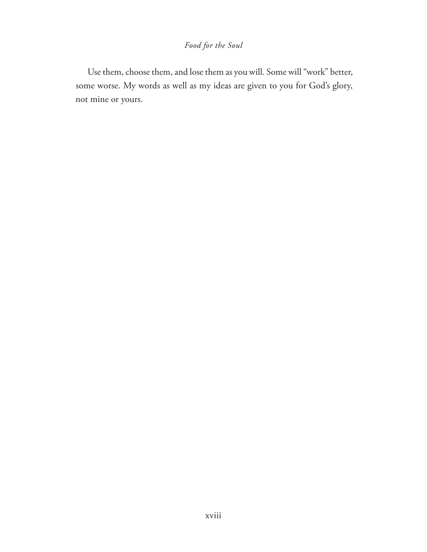#### *Food for the Soul*

Use them, choose them, and lose them as you will. Some will "work" better, some worse. My words as well as my ideas are given to you for God's glory, not mine or yours.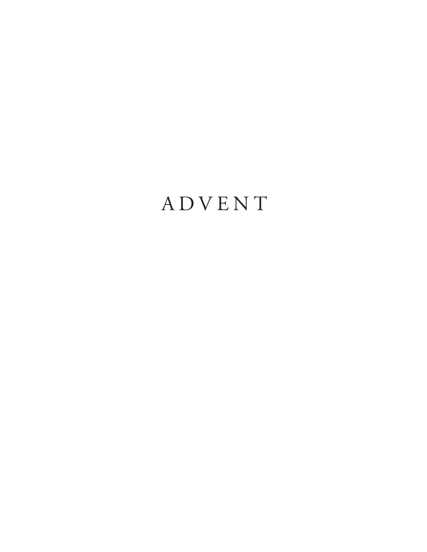# ADVENT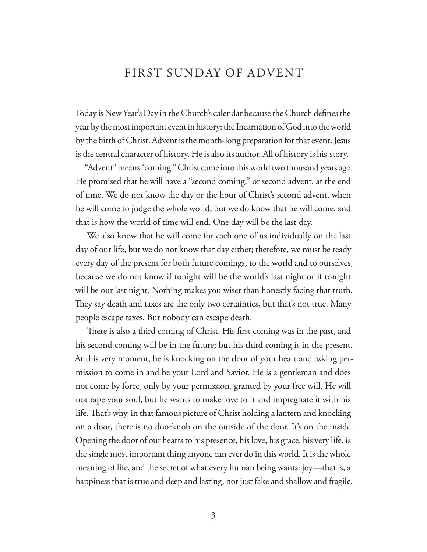### FIRST SUNDAY OF ADVENT

Today is New Year's Day in the Church's calendar because the Church defines the year by the most important event in history: the Incarnation of God into the world by the birth of Christ. Advent is the month-long preparation for that event. Jesus is the central character of history. He is also its author. All of history is his-story.

"Advent" means "coming." Christ came into this world two thousand years ago. He promised that he will have a "second coming," or second advent, at the end of time. We do not know the day or the hour of Christ's second advent, when he will come to judge the whole world, but we do know that he will come, and that is how the world of time will end. One day will be the last day.

We also know that he will come for each one of us individually on the last day of our life, but we do not know that day either; therefore, we must be ready every day of the present for both future comings, to the world and to ourselves, because we do not know if tonight will be the world's last night or if tonight will be our last night. Nothing makes you wiser than honestly facing that truth. They say death and taxes are the only two certainties, but that's not true. Many people escape taxes. But nobody can escape death.

There is also a third coming of Christ. His first coming was in the past, and his second coming will be in the future; but his third coming is in the present. At this very moment, he is knocking on the door of your heart and asking permission to come in and be your Lord and Savior. He is a gentleman and does not come by force, only by your permission, granted by your free will. He will not rape your soul, but he wants to make love to it and impregnate it with his life. That's why, in that famous picture of Christ holding a lantern and knocking on a door, there is no doorknob on the outside of the door. It's on the inside. Opening the door of our hearts to his presence, his love, his grace, his very life, is the single most important thing anyone can ever do in this world. It is the whole meaning of life, and the secret of what every human being wants: joy—that is, a happiness that is true and deep and lasting, not just fake and shallow and fragile.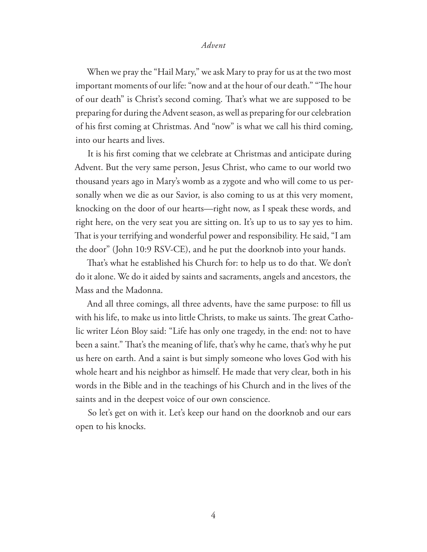When we pray the "Hail Mary," we ask Mary to pray for us at the two most important moments of our life: "now and at the hour of our death." "The hour of our death" is Christ's second coming. That's what we are supposed to be preparing for during the Advent season, as well as preparing for our celebration of his first coming at Christmas. And "now" is what we call his third coming, into our hearts and lives.

It is his first coming that we celebrate at Christmas and anticipate during Advent. But the very same person, Jesus Christ, who came to our world two thousand years ago in Mary's womb as a zygote and who will come to us personally when we die as our Savior, is also coming to us at this very moment, knocking on the door of our hearts—right now, as I speak these words, and right here, on the very seat you are sitting on. It's up to us to say yes to him. That is your terrifying and wonderful power and responsibility. He said, "I am the door" (John 10:9 RSV-CE), and he put the doorknob into your hands.

That's what he established his Church for: to help us to do that. We don't do it alone. We do it aided by saints and sacraments, angels and ancestors, the Mass and the Madonna.

And all three comings, all three advents, have the same purpose: to fill us with his life, to make us into little Christs, to make us saints. The great Catholic writer Léon Bloy said: "Life has only one tragedy, in the end: not to have been a saint." That's the meaning of life, that's why he came, that's why he put us here on earth. And a saint is but simply someone who loves God with his whole heart and his neighbor as himself. He made that very clear, both in his words in the Bible and in the teachings of his Church and in the lives of the saints and in the deepest voice of our own conscience.

So let's get on with it. Let's keep our hand on the doorknob and our ears open to his knocks.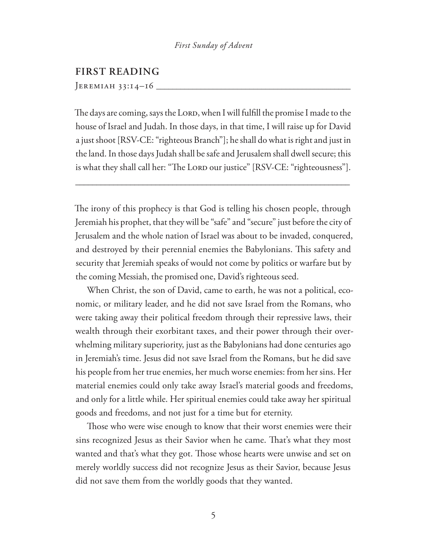#### *First Sunday of Advent*

#### **FIRST READING**

 $JEREMIAH 33:14-16$ 

The days are coming, says the LORD, when I will fulfill the promise I made to the house of Israel and Judah. In those days, in that time, I will raise up for David a just shoot [RSV-CE: "righteous Branch"]; he shall do what is right and just in the land. In those days Judah shall be safe and Jerusalem shall dwell secure; this is what they shall call her: "The Lord our justice" [RSV-CE: "righteousness"].

\_\_\_\_\_\_\_\_\_\_\_\_\_\_\_\_\_\_\_\_\_\_\_\_\_\_\_\_\_\_\_\_\_\_\_\_\_\_\_\_\_\_\_\_\_\_\_\_\_\_\_\_\_\_\_\_\_\_\_\_\_\_\_\_\_

The irony of this prophecy is that God is telling his chosen people, through Jeremiah his prophet, that they will be "safe" and "secure" just before the city of Jerusalem and the whole nation of Israel was about to be invaded, conquered, and destroyed by their perennial enemies the Babylonians. This safety and security that Jeremiah speaks of would not come by politics or warfare but by the coming Messiah, the promised one, David's righteous seed.

When Christ, the son of David, came to earth, he was not a political, economic, or military leader, and he did not save Israel from the Romans, who were taking away their political freedom through their repressive laws, their wealth through their exorbitant taxes, and their power through their overwhelming military superiority, just as the Babylonians had done centuries ago in Jeremiah's time. Jesus did not save Israel from the Romans, but he did save his people from her true enemies, her much worse enemies: from her sins. Her material enemies could only take away Israel's material goods and freedoms, and only for a little while. Her spiritual enemies could take away her spiritual goods and freedoms, and not just for a time but for eternity.

Those who were wise enough to know that their worst enemies were their sins recognized Jesus as their Savior when he came. That's what they most wanted and that's what they got. Those whose hearts were unwise and set on merely worldly success did not recognize Jesus as their Savior, because Jesus did not save them from the worldly goods that they wanted.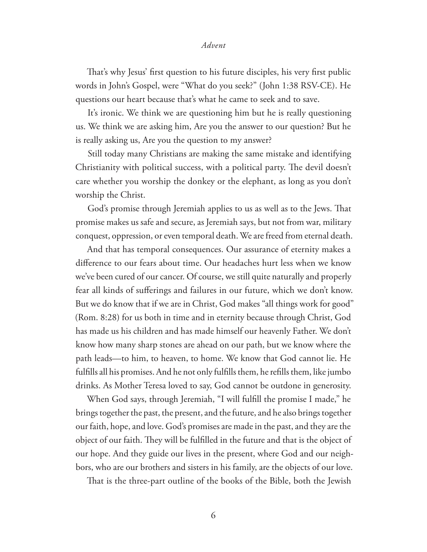That's why Jesus' first question to his future disciples, his very first public words in John's Gospel, were "What do you seek?" (John 1:38 RSV-CE). He questions our heart because that's what he came to seek and to save.

It's ironic. We think we are questioning him but he is really questioning us. We think we are asking him, Are you the answer to our question? But he is really asking us, Are you the question to my answer?

Still today many Christians are making the same mistake and identifying Christianity with political success, with a political party. The devil doesn't care whether you worship the donkey or the elephant, as long as you don't worship the Christ.

God's promise through Jeremiah applies to us as well as to the Jews. That promise makes us safe and secure, as Jeremiah says, but not from war, military conquest, oppression, or even temporal death. We are freed from eternal death.

And that has temporal consequences. Our assurance of eternity makes a difference to our fears about time. Our headaches hurt less when we know we've been cured of our cancer. Of course, we still quite naturally and properly fear all kinds of sufferings and failures in our future, which we don't know. But we do know that if we are in Christ, God makes "all things work for good" (Rom. 8:28) for us both in time and in eternity because through Christ, God has made us his children and has made himself our heavenly Father. We don't know how many sharp stones are ahead on our path, but we know where the path leads—to him, to heaven, to home. We know that God cannot lie. He ful fills all his promises. And he not only ful fills them, he refills them, like jumbo drinks. As Mother Teresa loved to say, God cannot be outdone in generosity.

When God says, through Jeremiah, "I will fulfill the promise I made," he brings together the past, the present, and the future, and he also brings together our faith, hope, and love. God's promises are made in the past, and they are the object of our faith. They will be fulfilled in the future and that is the object of our hope. And they guide our lives in the present, where God and our neighbors, who are our brothers and sisters in his family, are the objects of our love.

That is the three-part outline of the books of the Bible, both the Jewish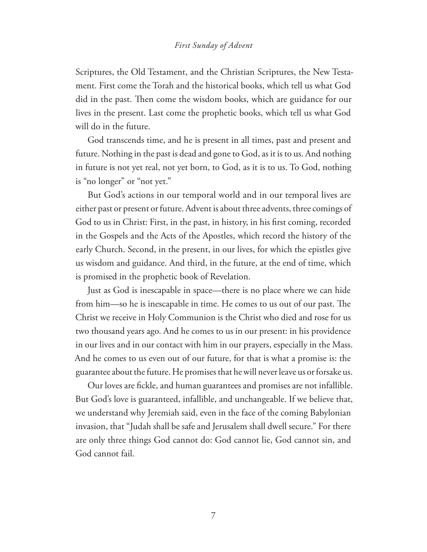#### *First Sunday of Advent*

Scriptures, the Old Testament, and the Christian Scriptures, the New Testament. First come the Torah and the historical books, which tell us what God did in the past. Then come the wisdom books, which are guidance for our lives in the present. Last come the prophetic books, which tell us what God will do in the future.

God transcends time, and he is present in all times, past and present and future. Nothing in the past is dead and gone to God, as it is to us. And nothing in future is not yet real, not yet born, to God, as it is to us. To God, nothing is "no longer" or "not yet."

But God's actions in our temporal world and in our temporal lives are either past or present or future. Advent is about three advents, three comings of God to us in Christ: First, in the past, in history, in his first coming, recorded in the Gospels and the Acts of the Apostles, which record the history of the early Church. Second, in the present, in our lives, for which the epistles give us wisdom and guidance. And third, in the future, at the end of time, which is promised in the prophetic book of Revelation.

Just as God is inescapable in space—there is no place where we can hide from him—so he is inescapable in time. He comes to us out of our past. The Christ we receive in Holy Communion is the Christ who died and rose for us two thousand years ago. And he comes to us in our present: in his providence in our lives and in our contact with him in our prayers, especially in the Mass. And he comes to us even out of our future, for that is what a promise is: the guarantee about the future. He promises that he will never leave us or forsake us.

Our loves are fickle, and human guarantees and promises are not infallible. But God's love is guaranteed, infallible, and unchangeable. If we believe that, we understand why Jeremiah said, even in the face of the coming Babylonian invasion, that "Judah shall be safe and Jerusalem shall dwell secure." For there are only three things God cannot do: God cannot lie, God cannot sin, and God cannot fail.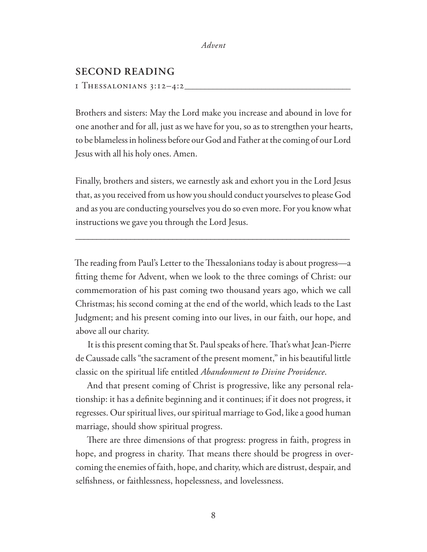#### **SECOND READING**

1 Thessalonians 3:12–4:2**\_\_\_\_\_\_\_\_\_\_\_\_\_\_\_\_\_\_\_\_\_\_\_\_\_\_\_\_\_\_\_\_\_\_\_\_\_\_\_\_\_**

Brothers and sisters: May the Lord make you increase and abound in love for one another and for all, just as we have for you, so as to strengthen your hearts, to be blameless in holiness before our God and Father at the coming of our Lord Jesus with all his holy ones. Amen.

Finally, brothers and sisters, we earnestly ask and exhort you in the Lord Jesus that, as you received from us how you should conduct yourselves to please God and as you are conducting yourselves you do so even more. For you know what instructions we gave you through the Lord Jesus.

\_\_\_\_\_\_\_\_\_\_\_\_\_\_\_\_\_\_\_\_\_\_\_\_\_\_\_\_\_\_\_\_\_\_\_\_\_\_\_\_\_\_\_\_\_\_\_\_\_\_\_\_\_\_\_\_\_\_\_\_\_\_\_\_\_

The reading from Paul's Letter to the Thessalonians today is about progress—a fitting theme for Advent, when we look to the three comings of Christ: our commemoration of his past coming two thousand years ago, which we call Christmas; his second coming at the end of the world, which leads to the Last Judgment; and his present coming into our lives, in our faith, our hope, and above all our charity.

It is this present coming that St. Paul speaks of here. That's what Jean-Pierre de Caussade calls "the sacrament of the present moment," in his beautiful little classic on the spiritual life entitled *Abandonment to Divine Providence*.

And that present coming of Christ is progressive, like any personal relationship: it has a definite beginning and it continues; if it does not progress, it regresses. Our spiritual lives, our spiritual marriage to God, like a good human marriage, should show spiritual progress.

There are three dimensions of that progress: progress in faith, progress in hope, and progress in charity. That means there should be progress in overcoming the enemies of faith, hope, and charity, which are distrust, despair, and selfishness, or faithlessness, hopelessness, and lovelessness.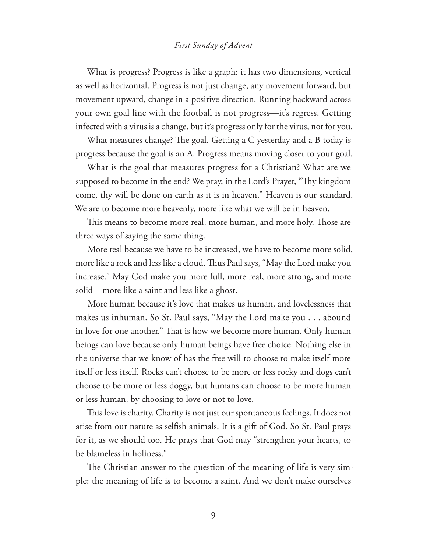#### *First Sunday of Advent*

What is progress? Progress is like a graph: it has two dimensions, vertical as well as horizontal. Progress is not just change, any movement forward, but movement upward, change in a positive direction. Running backward across your own goal line with the football is not progress—it's regress. Getting infected with a virus is a change, but it's progress only for the virus, not for you.

What measures change? The goal. Getting a  $C$  yesterday and a B today is progress because the goal is an A. Progress means moving closer to your goal.

What is the goal that measures progress for a Christian? What are we supposed to become in the end? We pray, in the Lord's Prayer, "Thy kingdom come, thy will be done on earth as it is in heaven." Heaven is our standard. We are to become more heavenly, more like what we will be in heaven.

This means to become more real, more human, and more holy. Those are three ways of saying the same thing.

More real because we have to be increased, we have to become more solid, more like a rock and less like a cloud. Thus Paul says, "May the Lord make you increase." May God make you more full, more real, more strong, and more solid—more like a saint and less like a ghost.

More human because it's love that makes us human, and lovelessness that makes us inhuman. So St. Paul says, "May the Lord make you . . . abound in love for one another." That is how we become more human. Only human beings can love because only human beings have free choice. Nothing else in the universe that we know of has the free will to choose to make itself more itself or less itself. Rocks can't choose to be more or less rocky and dogs can't choose to be more or less doggy, but humans can choose to be more human or less human, by choosing to love or not to love.

This love is charity. Charity is not just our spontaneous feelings. It does not arise from our nature as selfish animals. It is a gift of God. So St. Paul prays for it, as we should too. He prays that God may "strengthen your hearts, to be blameless in holiness."

The Christian answer to the question of the meaning of life is very simple: the meaning of life is to become a saint. And we don't make ourselves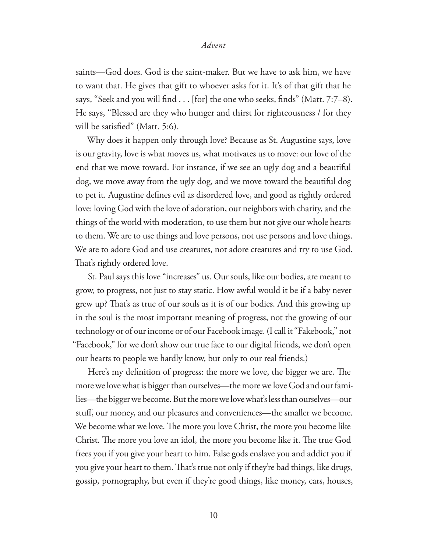saints—God does. God is the saint-maker. But we have to ask him, we have to want that. He gives that gift to whoever asks for it. It's of that gift that he says, "Seek and you will find  $\ldots$  [for] the one who seeks, finds" (Matt. 7:7–8). He says, "Blessed are they who hunger and thirst for righteousness / for they will be satisfied" (Matt. 5:6).

Why does it happen only through love? Because as St. Augustine says, love is our gravity, love is what moves us, what motivates us to move: our love of the end that we move toward. For instance, if we see an ugly dog and a beautiful dog, we move away from the ugly dog, and we move toward the beautiful dog to pet it. Augustine defines evil as disordered love, and good as rightly ordered love: loving God with the love of adoration, our neighbors with charity, and the things of the world with moderation, to use them but not give our whole hearts to them. We are to use things and love persons, not use persons and love things. We are to adore God and use creatures, not adore creatures and try to use God. That's rightly ordered love.

St. Paul says this love "increases" us. Our souls, like our bodies, are meant to grow, to progress, not just to stay static. How awful would it be if a baby never grew up? That's as true of our souls as it is of our bodies. And this growing up in the soul is the most important meaning of progress, not the growing of our technology or of our income or of our Facebook image. (I call it "Fakebook," not "Facebook," for we don't show our true face to our digital friends, we don't open our hearts to people we hardly know, but only to our real friends.)

Here's my definition of progress: the more we love, the bigger we are. The more we love what is bigger than ourselves—the more we love God and our families—the bigger we become. But the more we love what's less than ourselves—our stuff, our money, and our pleasures and conveniences—the smaller we become. We become what we love. The more you love Christ, the more you become like Christ. The more you love an idol, the more you become like it. The true God frees you if you give your heart to him. False gods enslave you and addict you if you give your heart to them. That's true not only if they're bad things, like drugs, gossip, pornography, but even if they're good things, like money, cars, houses,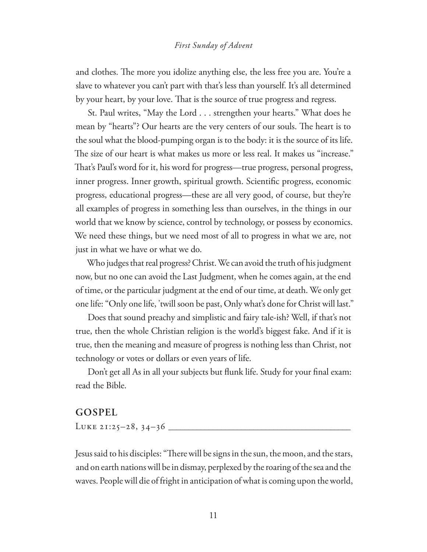#### *First Sunday of Advent*

and clothes. The more you idolize anything else, the less free you are. You're a slave to whatever you can't part with that's less than yourself. It's all determined by your heart, by your love. That is the source of true progress and regress.

St. Paul writes, "May the Lord . . . strengthen your hearts." What does he mean by "hearts"? Our hearts are the very centers of our souls. The heart is to the soul what the blood-pumping organ is to the body: it is the source of its life. The size of our heart is what makes us more or less real. It makes us "increase." That's Paul's word for it, his word for progress—true progress, personal progress, inner progress. Inner growth, spiritual growth. Scientific progress, economic progress, educational progress—these are all very good, of course, but they're all examples of progress in something less than ourselves, in the things in our world that we know by science, control by technology, or possess by economics. We need these things, but we need most of all to progress in what we are, not just in what we have or what we do.

Who judges that real progress? Christ. We can avoid the truth of his judgment now, but no one can avoid the Last Judgment, when he comes again, at the end of time, or the particular judgment at the end of our time, at death. We only get one life: "Only one life, 'twill soon be past, Only what's done for Christ will last."

Does that sound preachy and simplistic and fairy tale-ish? Well, if that's not true, then the whole Christian religion is the world's biggest fake. And if it is true, then the meaning and measure of progress is nothing less than Christ, not technology or votes or dollars or even years of life.

Don't get all As in all your subjects but flunk life. Study for your final exam: read the Bible.

#### **GOSPEL**

Luke 21:25–28, 34–36 **\_\_\_\_\_\_\_\_\_\_\_\_\_\_\_\_\_\_\_\_\_\_\_\_\_\_\_\_\_\_\_\_\_\_\_\_\_\_\_\_\_\_\_\_\_**

Jesus said to his disciples: "There will be signs in the sun, the moon, and the stars, and on earth nations will be in dismay, perplexed by the roaring of the sea and the waves. People will die of fright in anticipation of what is coming upon the world,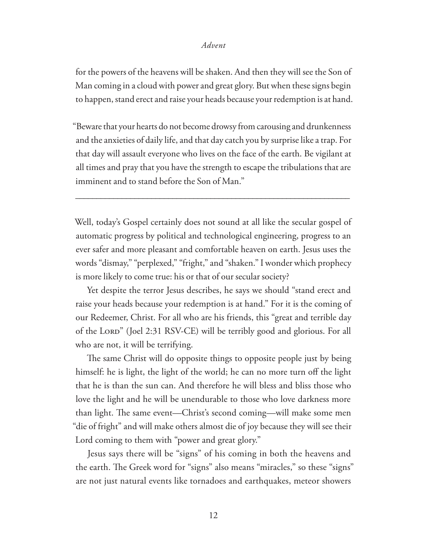for the powers of the heavens will be shaken. And then they will see the Son of Man coming in a cloud with power and great glory. But when these signs begin to happen, stand erect and raise your heads because your redemption is at hand.

"Beware that your hearts do not become drowsy from carousing and drunkenness and the anxieties of daily life, and that day catch you by surprise like a trap. For that day will assault everyone who lives on the face of the earth. Be vigilant at all times and pray that you have the strength to escape the tribulations that are imminent and to stand before the Son of Man."

\_\_\_\_\_\_\_\_\_\_\_\_\_\_\_\_\_\_\_\_\_\_\_\_\_\_\_\_\_\_\_\_\_\_\_\_\_\_\_\_\_\_\_\_\_\_\_\_\_\_\_\_\_\_\_\_\_\_\_\_\_\_\_\_\_

Well, today's Gospel certainly does not sound at all like the secular gospel of automatic progress by political and technological engineering, progress to an ever safer and more pleasant and comfortable heaven on earth. Jesus uses the words "dismay," "perplexed," "fright," and "shaken." I wonder which prophecy is more likely to come true: his or that of our secular society?

Yet despite the terror Jesus describes, he says we should "stand erect and raise your heads because your redemption is at hand." For it is the coming of our Redeemer, Christ. For all who are his friends, this "great and terrible day of the Lord" (Joel 2:31 RSV-CE) will be terribly good and glorious. For all who are not, it will be terrifying.

The same Christ will do opposite things to opposite people just by being himself: he is light, the light of the world; he can no more turn off the light that he is than the sun can. And therefore he will bless and bliss those who love the light and he will be unendurable to those who love darkness more than light. The same event—Christ's second coming—will make some men "die of fright" and will make others almost die of joy because they will see their Lord coming to them with "power and great glory."

Jesus says there will be "signs" of his coming in both the heavens and the earth. The Greek word for "signs" also means "miracles," so these "signs" are not just natural events like tornadoes and earthquakes, meteor showers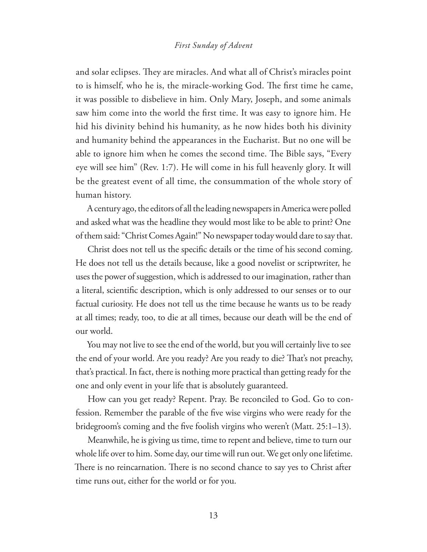#### *First Sunday of Advent*

and solar eclipses. They are miracles. And what all of Christ's miracles point to is himself, who he is, the miracle-working God. The first time he came, it was possible to disbelieve in him. Only Mary, Joseph, and some animals saw him come into the world the first time. It was easy to ignore him. He hid his divinity behind his humanity, as he now hides both his divinity and humanity behind the appearances in the Eucharist. But no one will be able to ignore him when he comes the second time. The Bible says, "Every eye will see him" (Rev. 1:7). He will come in his full heavenly glory. It will be the greatest event of all time, the consummation of the whole story of human history.

A century ago, the editors of all the leading newspapers in America were polled and asked what was the headline they would most like to be able to print? One of them said: "Christ Comes Again!" No newspaper today would dare to say that.

Christ does not tell us the specific details or the time of his second coming. He does not tell us the details because, like a good novelist or scriptwriter, he uses the power of suggestion, which is addressed to our imagination, rather than a literal, scientific description, which is only addressed to our senses or to our factual curiosity. He does not tell us the time because he wants us to be ready at all times; ready, too, to die at all times, because our death will be the end of our world.

You may not live to see the end of the world, but you will certainly live to see the end of your world. Are you ready? Are you ready to die? That's not preachy, that's practical. In fact, there is nothing more practical than getting ready for the one and only event in your life that is absolutely guaranteed.

How can you get ready? Repent. Pray. Be reconciled to God. Go to confession. Remember the parable of the five wise virgins who were ready for the bridegroom's coming and the five foolish virgins who weren't (Matt. 25:1–13).

Meanwhile, he is giving us time, time to repent and believe, time to turn our whole life over to him. Some day, our time will run out. We get only one lifetime. There is no reincarnation. There is no second chance to say yes to Christ after time runs out, either for the world or for you.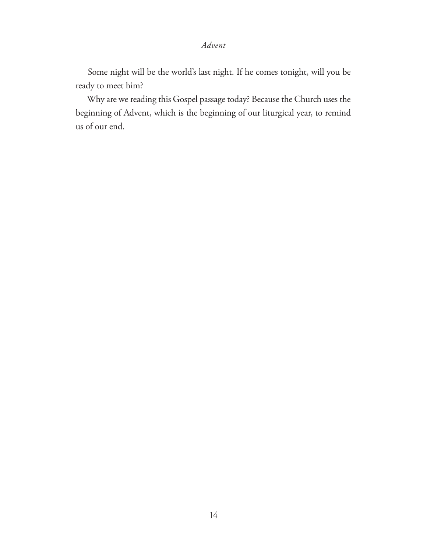Some night will be the world's last night. If he comes tonight, will you be ready to meet him?

Why are we reading this Gospel passage today? Because the Church uses the beginning of Advent, which is the beginning of our liturgical year, to remind us of our end.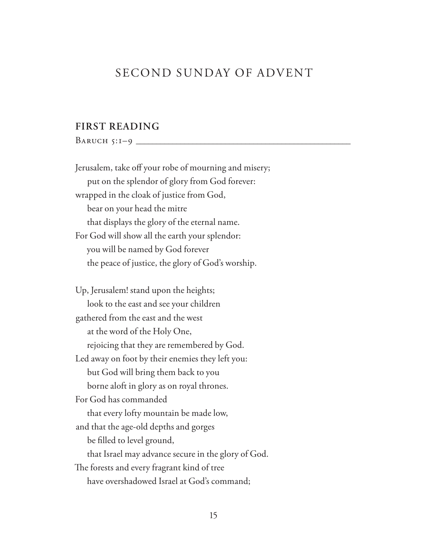# SECOND SUNDAY OF ADVENT

#### **FIRST READING**

Baruch 5:1–9 **\_\_\_\_\_\_\_\_\_\_\_\_\_\_\_\_\_\_\_\_\_\_\_\_\_\_\_\_\_\_\_\_\_\_\_\_\_\_\_\_\_\_\_\_\_\_\_\_\_\_\_\_\_**

Jerusalem, take off your robe of mourning and misery; put on the splendor of glory from God forever: wrapped in the cloak of justice from God, bear on your head the mitre that displays the glory of the eternal name. For God will show all the earth your splendor: you will be named by God forever the peace of justice, the glory of God's worship. Up, Jerusalem! stand upon the heights; look to the east and see your children

gathered from the east and the west at the word of the Holy One, rejoicing that they are remembered by God. Led away on foot by their enemies they left you: but God will bring them back to you borne aloft in glory as on royal thrones. For God has commanded that every lofty mountain be made low, and that the age-old depths and gorges be filled to level ground, that Israel may advance secure in the glory of God. The forests and every fragrant kind of tree have overshadowed Israel at God's command;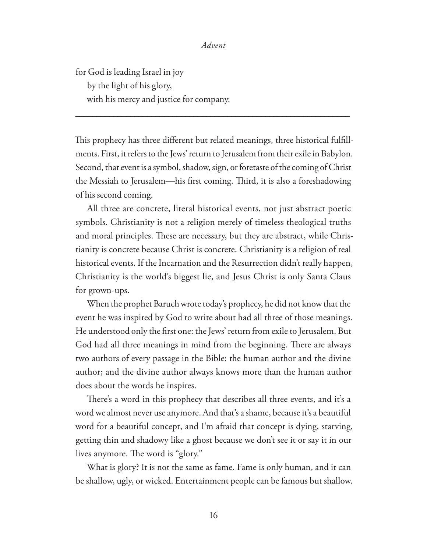for God is leading Israel in joy by the light of his glory, with his mercy and justice for company.

This prophecy has three different but related meanings, three historical fulfillments. First, it refers to the Jews' return to Jerusalem from their exile in Babylon. Second, that event is a symbol, shadow, sign, or foretaste of the coming of Christ the Messiah to Jerusalem—his first coming. Third, it is also a foreshadowing of his second coming.

\_\_\_\_\_\_\_\_\_\_\_\_\_\_\_\_\_\_\_\_\_\_\_\_\_\_\_\_\_\_\_\_\_\_\_\_\_\_\_\_\_\_\_\_\_\_\_\_\_\_\_\_\_\_\_\_\_\_\_\_\_\_\_\_\_

All three are concrete, literal historical events, not just abstract poetic symbols. Christianity is not a religion merely of timeless theological truths and moral principles. These are necessary, but they are abstract, while Christianity is concrete because Christ is concrete. Christianity is a religion of real historical events. If the Incarnation and the Resurrection didn't really happen, Christianity is the world's biggest lie, and Jesus Christ is only Santa Claus for grown-ups.

When the prophet Baruch wrote today's prophecy, he did not know that the event he was inspired by God to write about had all three of those meanings. He understood only the first one: the Jews' return from exile to Jerusalem. But God had all three meanings in mind from the beginning. There are always two authors of every passage in the Bible: the human author and the divine author; and the divine author always knows more than the human author does about the words he inspires.

There's a word in this prophecy that describes all three events, and it's a word we almost never use anymore. And that's a shame, because it's a beautiful word for a beautiful concept, and I'm afraid that concept is dying, starving, getting thin and shadowy like a ghost because we don't see it or say it in our lives anymore. The word is "glory."

What is glory? It is not the same as fame. Fame is only human, and it can be shallow, ugly, or wicked. Entertainment people can be famous but shallow.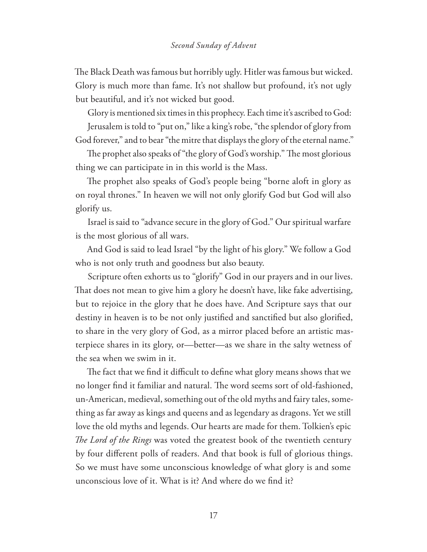The Black Death was famous but horribly ugly. Hitler was famous but wicked. Glory is much more than fame. It's not shallow but profound, it's not ugly but beautiful, and it's not wicked but good.

Glory is mentioned six times in this prophecy. Each time it's ascribed to God: Jerusalem is told to "put on," like a king's robe, "the splendor of glory from God forever," and to bear "the mitre that displays the glory of the eternal name."

The prophet also speaks of "the glory of God's worship." The most glorious thing we can participate in in this world is the Mass.

The prophet also speaks of God's people being "borne aloft in glory as on royal thrones." In heaven we will not only glorify God but God will also glorify us.

Israel is said to "advance secure in the glory of God." Our spiritual warfare is the most glorious of all wars.

And God is said to lead Israel "by the light of his glory." We follow a God who is not only truth and goodness but also beauty.

Scripture often exhorts us to "glorify" God in our prayers and in our lives. That does not mean to give him a glory he doesn't have, like fake advertising, but to rejoice in the glory that he does have. And Scripture says that our destiny in heaven is to be not only justified and sanctified but also glorified, to share in the very glory of God, as a mirror placed before an artistic masterpiece shares in its glory, or—better—as we share in the salty wetness of the sea when we swim in it.

The fact that we find it difficult to define what glory means shows that we no longer find it familiar and natural. The word seems sort of old-fashioned, un-American, medieval, something out of the old myths and fairy tales, something as far away as kings and queens and as legendary as dragons. Yet we still love the old myths and legends. Our hearts are made for them. Tolkien's epic The Lord of the Rings was voted the greatest book of the twentieth century by four different polls of readers. And that book is full of glorious things. So we must have some unconscious knowledge of what glory is and some unconscious love of it. What is it? And where do we find it?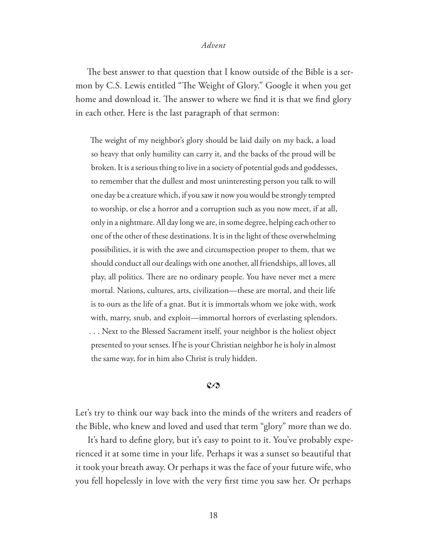The best answer to that question that I know outside of the Bible is a sermon by C.S. Lewis entitled "The Weight of Glory." Google it when you get home and download it. The answer to where we find it is that we find glory in each other. Here is the last paragraph of that sermon:

The weight of my neighbor's glory should be laid daily on my back, a load so heavy that only humility can carry it, and the backs of the proud will be broken. It is a serious thing to live in a society of potential gods and goddesses, to remember that the dullest and most uninteresting person you talk to will one day be a creature which, if you saw it now you would be strongly tempted to worship, or else a horror and a corruption such as you now meet, if at all, only in a nightmare. All day long we are, in some degree, helping each other to one of the other of these destinations. It is in the light of these overwhelming possibilities, it is with the awe and circumspection proper to them, that we should conduct all our dealings with one another, all friendships, all loves, all play, all politics. There are no ordinary people. You have never met a mere mortal. Nations, cultures, arts, civilization—these are mortal, and their life is to ours as the life of a gnat. But it is immortals whom we joke with, work with, marry, snub, and exploit—immortal horrors of everlasting splendors. . . . Next to the Blessed Sacrament itself, your neighbor is the holiest object presented to your senses. If he is your Christian neighbor he is holy in almost the same way, for in him also Christ is truly hidden.

#### $\mathcal{C}$

Let's try to think our way back into the minds of the writers and readers of the Bible, who knew and loved and used that term "glory" more than we do.

It's hard to define glory, but it's easy to point to it. You've probably experienced it at some time in your life. Perhaps it was a sunset so beautiful that it took your breath away. Or perhaps it was the face of your future wife, who you fell hopelessly in love with the very first time you saw her. Or perhaps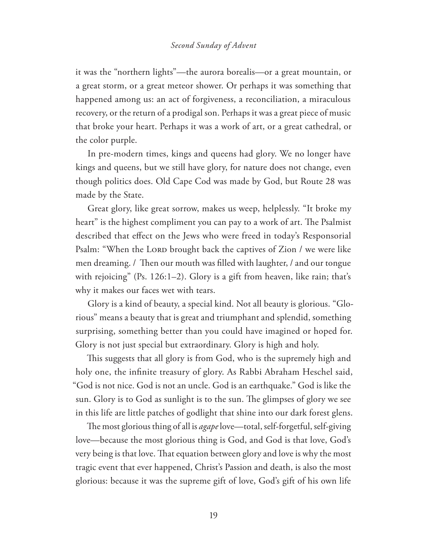#### *Second Sunday of Advent*

it was the "northern lights"—the aurora borealis—or a great mountain, or a great storm, or a great meteor shower. Or perhaps it was something that happened among us: an act of forgiveness, a reconciliation, a miraculous recovery, or the return of a prodigal son. Perhaps it was a great piece of music that broke your heart. Perhaps it was a work of art, or a great cathedral, or the color purple.

In pre-modern times, kings and queens had glory. We no longer have kings and queens, but we still have glory, for nature does not change, even though politics does. Old Cape Cod was made by God, but Route 28 was made by the State.

Great glory, like great sorrow, makes us weep, helplessly. "It broke my heart" is the highest compliment you can pay to a work of art. The Psalmist described that effect on the Jews who were freed in today's Responsorial Psalm: "When the LORD brought back the captives of Zion / we were like men dreaming. / Then our mouth was filled with laughter, / and our tongue with rejoicing" (Ps. 126:1–2). Glory is a gift from heaven, like rain; that's why it makes our faces wet with tears.

Glory is a kind of beauty, a special kind. Not all beauty is glorious. "Glorious" means a beauty that is great and triumphant and splendid, something surprising, something better than you could have imagined or hoped for. Glory is not just special but extraordinary. Glory is high and holy.

This suggests that all glory is from God, who is the supremely high and holy one, the infinite treasury of glory. As Rabbi Abraham Heschel said, "God is not nice. God is not an uncle. God is an earthquake." God is like the sun. Glory is to God as sunlight is to the sun. The glimpses of glory we see in this life are little patches of godlight that shine into our dark forest glens.

The most glorious thing of all is *agape* love—total, self-forgetful, self-giving love—because the most glorious thing is God, and God is that love, God's very being is that love. That equation between glory and love is why the most tragic event that ever happened, Christ's Passion and death, is also the most glorious: because it was the supreme gift of love, God's gift of his own life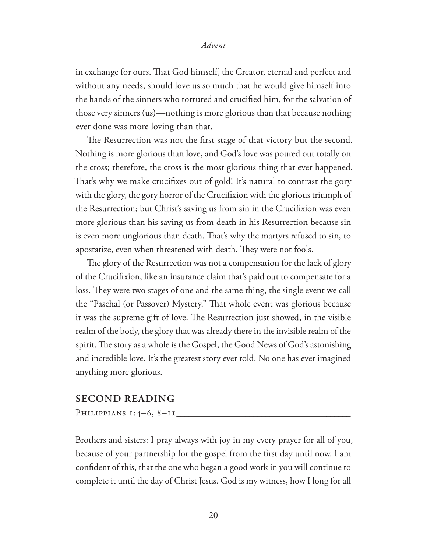in exchange for ours. That God himself, the Creator, eternal and perfect and without any needs, should love us so much that he would give himself into the hands of the sinners who tortured and crucified him, for the salvation of those very sinners (us)—nothing is more glorious than that because nothing ever done was more loving than that.

The Resurrection was not the first stage of that victory but the second. Nothing is more glorious than love, and God's love was poured out totally on the cross; therefore, the cross is the most glorious thing that ever happened. That's why we make crucifixes out of gold! It's natural to contrast the gory with the glory, the gory horror of the Crucifixion with the glorious triumph of the Resurrection; but Christ's saving us from sin in the Crucifixion was even more glorious than his saving us from death in his Resurrection because sin is even more unglorious than death. That's why the martyrs refused to sin, to apostatize, even when threatened with death. They were not fools.

The glory of the Resurrection was not a compensation for the lack of glory of the Crucifixion, like an insurance claim that's paid out to compensate for a loss. They were two stages of one and the same thing, the single event we call the "Paschal (or Passover) Mystery." That whole event was glorious because it was the supreme gift of love. The Resurrection just showed, in the visible realm of the body, the glory that was already there in the invisible realm of the spirit. The story as a whole is the Gospel, the Good News of God's astonishing and incredible love. It's the greatest story ever told. No one has ever imagined anything more glorious.

#### **SECOND READING**

PHILIPPIANS 1:4-6, 8-11

Brothers and sisters: I pray always with joy in my every prayer for all of you, because of your partnership for the gospel from the first day until now. I am confident of this, that the one who began a good work in you will continue to complete it until the day of Christ Jesus. God is my witness, how I long for all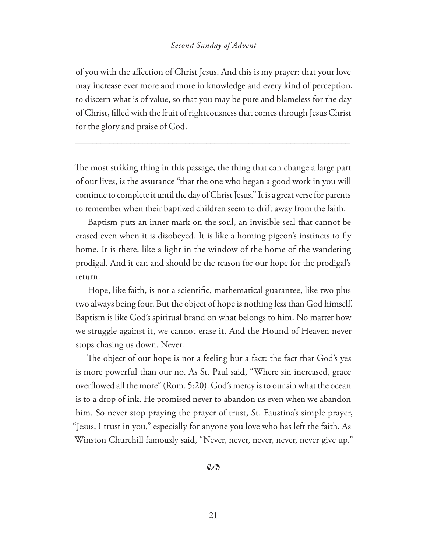#### *Second Sunday of Advent*

of you with the affection of Christ Jesus. And this is my prayer: that your love may increase ever more and more in knowledge and every kind of perception, to discern what is of value, so that you may be pure and blameless for the day of Christ, #lled with the fruit of righteousness that comes through Jesus Christ for the glory and praise of God.

\_\_\_\_\_\_\_\_\_\_\_\_\_\_\_\_\_\_\_\_\_\_\_\_\_\_\_\_\_\_\_\_\_\_\_\_\_\_\_\_\_\_\_\_\_\_\_\_\_\_\_\_\_\_\_\_\_\_\_\_\_\_\_\_\_

The most striking thing in this passage, the thing that can change a large part of our lives, is the assurance "that the one who began a good work in you will continue to complete it until the day of Christ Jesus." It is a great verse for parents to remember when their baptized children seem to drift away from the faith.

Baptism puts an inner mark on the soul, an invisible seal that cannot be erased even when it is disobeyed. It is like a homing pigeon's instincts to fly home. It is there, like a light in the window of the home of the wandering prodigal. And it can and should be the reason for our hope for the prodigal's return.

Hope, like faith, is not a scientific, mathematical guarantee, like two plus two always being four. But the object of hope is nothing less than God himself. Baptism is like God's spiritual brand on what belongs to him. No matter how we struggle against it, we cannot erase it. And the Hound of Heaven never stops chasing us down. Never.

The object of our hope is not a feeling but a fact: the fact that God's yes is more powerful than our no. As St. Paul said, "Where sin increased, grace overflowed all the more" (Rom. 5:20). God's mercy is to our sin what the ocean is to a drop of ink. He promised never to abandon us even when we abandon him. So never stop praying the prayer of trust, St. Faustina's simple prayer, "Jesus, I trust in you," especially for anyone you love who has left the faith. As Winston Churchill famously said, "Never, never, never, never, never give up."

 $\mathcal{C}$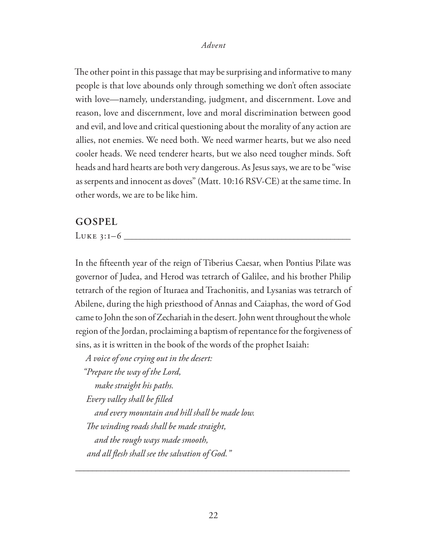The other point in this passage that may be surprising and informative to many people is that love abounds only through something we don't often associate with love—namely, understanding, judgment, and discernment. Love and reason, love and discernment, love and moral discrimination between good and evil, and love and critical questioning about the morality of any action are allies, not enemies. We need both. We need warmer hearts, but we also need cooler heads. We need tenderer hearts, but we also need tougher minds. Soft heads and hard hearts are both very dangerous. As Jesus says, we are to be "wise as serpents and innocent as doves" (Matt. 10:16 RSV-CE) at the same time. In other words, we are to be like him.

#### **GOSPEL**

Luke 3:1–6 **\_\_\_\_\_\_\_\_\_\_\_\_\_\_\_\_\_\_\_\_\_\_\_\_\_\_\_\_\_\_\_\_\_\_\_\_\_\_\_\_\_\_\_\_\_\_\_\_\_\_\_\_\_\_\_\_**

In the fifteenth year of the reign of Tiberius Caesar, when Pontius Pilate was governor of Judea, and Herod was tetrarch of Galilee, and his brother Philip tetrarch of the region of Ituraea and Trachonitis, and Lysanias was tetrarch of Abilene, during the high priesthood of Annas and Caiaphas, the word of God came to John the son of Zechariah in the desert. John went throughout the whole region of the Jordan, proclaiming a baptism of repentance for the forgiveness of sins, as it is written in the book of the words of the prophet Isaiah:

*A voice of one crying out in the desert: "Prepare the way of the Lord, make straight his paths. Every valley shall be "lled and every mountain and hill shall be made low. !e winding roads shall be made straight, and the rough ways made smooth, and all #esh shall see the salvation of God."*

\_\_\_\_\_\_\_\_\_\_\_\_\_\_\_\_\_\_\_\_\_\_\_\_\_\_\_\_\_\_\_\_\_\_\_\_\_\_\_\_\_\_\_\_\_\_\_\_\_\_\_\_\_\_\_\_\_\_\_\_\_\_\_\_\_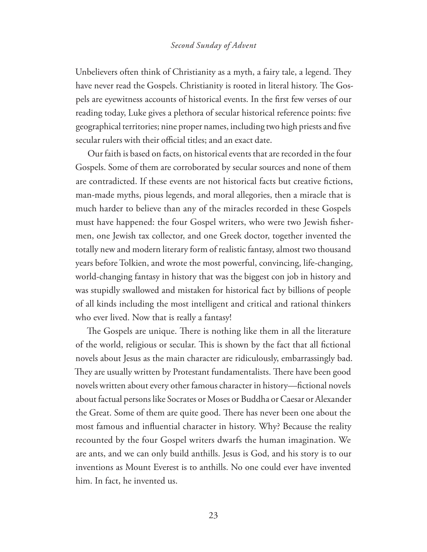#### *Second Sunday of Advent*

Unbelievers often think of Christianity as a myth, a fairy tale, a legend. They have never read the Gospels. Christianity is rooted in literal history. The Gospels are eyewitness accounts of historical events. In the first few verses of our reading today, Luke gives a plethora of secular historical reference points: five geographical territories; nine proper names, including two high priests and five secular rulers with their official titles; and an exact date.

Our faith is based on facts, on historical events that are recorded in the four Gospels. Some of them are corroborated by secular sources and none of them are contradicted. If these events are not historical facts but creative fictions, man-made myths, pious legends, and moral allegories, then a miracle that is much harder to believe than any of the miracles recorded in these Gospels must have happened: the four Gospel writers, who were two Jewish fishermen, one Jewish tax collector, and one Greek doctor, together invented the totally new and modern literary form of realistic fantasy, almost two thousand years before Tolkien, and wrote the most powerful, convincing, life-changing, world-changing fantasy in history that was the biggest con job in history and was stupidly swallowed and mistaken for historical fact by billions of people of all kinds including the most intelligent and critical and rational thinkers who ever lived. Now that is really a fantasy!

The Gospels are unique. There is nothing like them in all the literature of the world, religious or secular. This is shown by the fact that all fictional novels about Jesus as the main character are ridiculously, embarrassingly bad. They are usually written by Protestant fundamentalists. There have been good novels written about every other famous character in history—fictional novels about factual persons like Socrates or Moses or Buddha or Caesar or Alexander the Great. Some of them are quite good. There has never been one about the most famous and influential character in history. Why? Because the reality recounted by the four Gospel writers dwarfs the human imagination. We are ants, and we can only build anthills. Jesus is God, and his story is to our inventions as Mount Everest is to anthills. No one could ever have invented him. In fact, he invented us.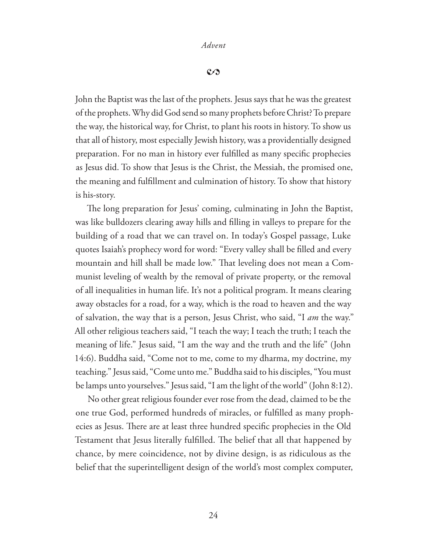$\mathcal{C}$ 

John the Baptist was the last of the prophets. Jesus says that he was the greatest of the prophets. Why did God send so many prophets before Christ? To prepare the way, the historical way, for Christ, to plant his roots in history. To show us that all of history, most especially Jewish history, was a providentially designed preparation. For no man in history ever fulfilled as many specific prophecies as Jesus did. To show that Jesus is the Christ, the Messiah, the promised one, the meaning and fulfillment and culmination of history. To show that history is his-story.

The long preparation for Jesus' coming, culminating in John the Baptist, was like bulldozers clearing away hills and filling in valleys to prepare for the building of a road that we can travel on. In today's Gospel passage, Luke quotes Isaiah's prophecy word for word: "Every valley shall be filled and every mountain and hill shall be made low." That leveling does not mean a Communist leveling of wealth by the removal of private property, or the removal of all inequalities in human life. It's not a political program. It means clearing away obstacles for a road, for a way, which is the road to heaven and the way of salvation, the way that is a person, Jesus Christ, who said, "I *am* the way." All other religious teachers said, "I teach the way; I teach the truth; I teach the meaning of life." Jesus said, "I am the way and the truth and the life" (John 14:6). Buddha said, "Come not to me, come to my dharma, my doctrine, my teaching." Jesus said, "Come unto me." Buddha said to his disciples, "You must be lamps unto yourselves." Jesus said, "I am the light of the world" (John 8:12).

No other great religious founder ever rose from the dead, claimed to be the one true God, performed hundreds of miracles, or fulfilled as many prophecies as Jesus. There are at least three hundred specific prophecies in the Old Testament that Jesus literally fulfilled. The belief that all that happened by chance, by mere coincidence, not by divine design, is as ridiculous as the belief that the superintelligent design of the world's most complex computer,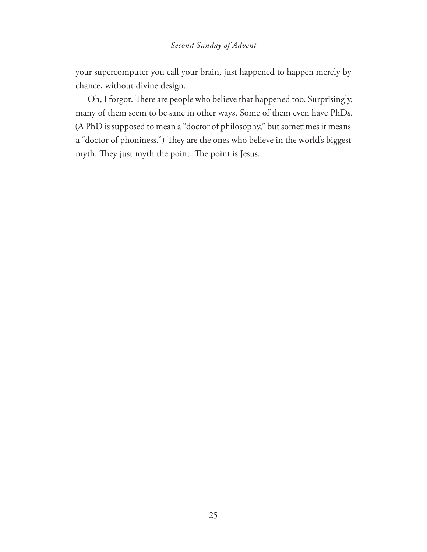#### *Second Sunday of Advent*

your supercomputer you call your brain, just happened to happen merely by chance, without divine design.

Oh, I forgot. There are people who believe that happened too. Surprisingly, many of them seem to be sane in other ways. Some of them even have PhDs. (A PhD is supposed to mean a "doctor of philosophy," but sometimes it means a "doctor of phoniness.") They are the ones who believe in the world's biggest myth. They just myth the point. The point is Jesus.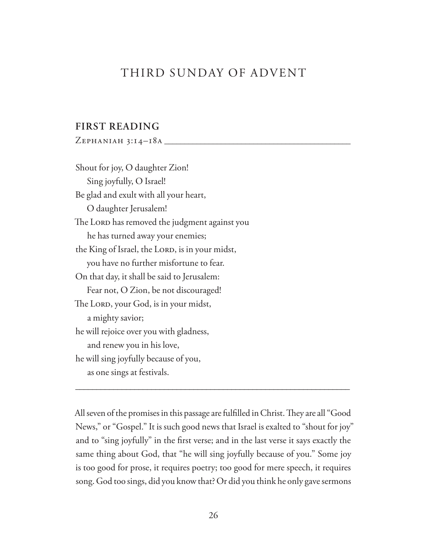## THIRD SUNDAY OF ADVENT

#### **FIRST READING**

Zephaniah 3:14–18a **\_\_\_\_\_\_\_\_\_\_\_\_\_\_\_\_\_\_\_\_\_\_\_\_\_\_\_\_\_\_\_\_\_\_\_\_\_\_\_\_\_\_\_\_\_\_**

Shout for joy, O daughter Zion! Sing joyfully, O Israel! Be glad and exult with all your heart, O daughter Jerusalem! The LORD has removed the judgment against you he has turned away your enemies; the King of Israel, the LORD, is in your midst, you have no further misfortune to fear. On that day, it shall be said to Jerusalem: Fear not, O Zion, be not discouraged! The LORD, your God, is in your midst, a mighty savior; he will rejoice over you with gladness, and renew you in his love, he will sing joyfully because of you, as one sings at festivals.

All seven of the promises in this passage are fulfilled in Christ. They are all "Good News," or "Gospel." It is such good news that Israel is exalted to "shout for joy" and to "sing joyfully" in the first verse; and in the last verse it says exactly the same thing about God, that "he will sing joyfully because of you." Some joy is too good for prose, it requires poetry; too good for mere speech, it requires song. God too sings, did you know that? Or did you think he only gave sermons

\_\_\_\_\_\_\_\_\_\_\_\_\_\_\_\_\_\_\_\_\_\_\_\_\_\_\_\_\_\_\_\_\_\_\_\_\_\_\_\_\_\_\_\_\_\_\_\_\_\_\_\_\_\_\_\_\_\_\_\_\_\_\_\_\_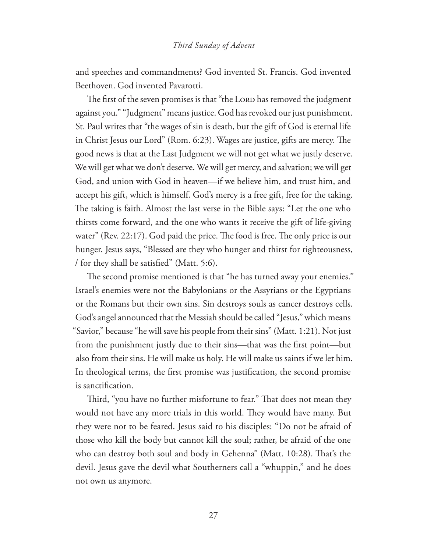#### *Third Sunday of Advent*

and speeches and commandments? God invented St. Francis. God invented Beethoven. God invented Pavarotti.

The first of the seven promises is that "the Loro has removed the judgment against you." "Judgment" means justice. God has revoked our just punishment. St. Paul writes that "the wages of sin is death, but the gift of God is eternal life in Christ Jesus our Lord" (Rom. 6:23). Wages are justice, gifts are mercy. The good news is that at the Last Judgment we will not get what we justly deserve. We will get what we don't deserve. We will get mercy, and salvation; we will get God, and union with God in heaven—if we believe him, and trust him, and accept his gift, which is himself. God's mercy is a free gift, free for the taking. The taking is faith. Almost the last verse in the Bible says: "Let the one who thirsts come forward, and the one who wants it receive the gift of life-giving water" (Rev. 22:17). God paid the price. The food is free. The only price is our hunger. Jesus says, "Blessed are they who hunger and thirst for righteousness, / for they shall be satisfied" (Matt. 5:6).

The second promise mentioned is that "he has turned away your enemies." Israel's enemies were not the Babylonians or the Assyrians or the Egyptians or the Romans but their own sins. Sin destroys souls as cancer destroys cells. God's angel announced that the Messiah should be called "Jesus," which means "Savior," because "he will save his people from their sins" (Matt. 1:21). Not just from the punishment justly due to their sins—that was the first point—but also from their sins. He will make us holy. He will make us saints if we let him. In theological terms, the first promise was justification, the second promise is sanctification.

Third, "you have no further misfortune to fear." That does not mean they would not have any more trials in this world. They would have many. But they were not to be feared. Jesus said to his disciples: "Do not be afraid of those who kill the body but cannot kill the soul; rather, be afraid of the one who can destroy both soul and body in Gehenna" (Matt. 10:28). That's the devil. Jesus gave the devil what Southerners call a "whuppin," and he does not own us anymore.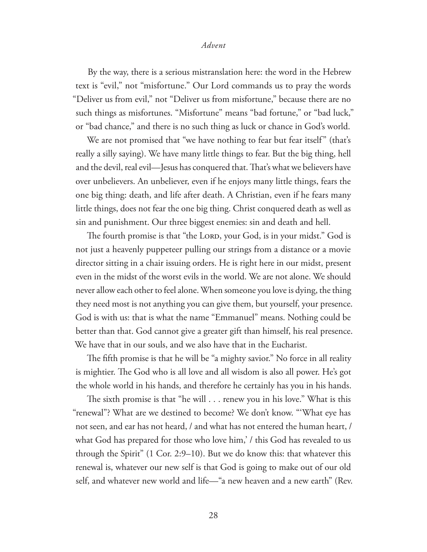By the way, there is a serious mistranslation here: the word in the Hebrew text is "evil," not "misfortune." Our Lord commands us to pray the words "Deliver us from evil," not "Deliver us from misfortune," because there are no such things as misfortunes. "Misfortune" means "bad fortune," or "bad luck," or "bad chance," and there is no such thing as luck or chance in God's world.

We are not promised that "we have nothing to fear but fear itself" (that's really a silly saying). We have many little things to fear. But the big thing, hell and the devil, real evil—Jesus has conquered that. That's what we believers have over unbelievers. An unbeliever, even if he enjoys many little things, fears the one big thing: death, and life after death. A Christian, even if he fears many little things, does not fear the one big thing. Christ conquered death as well as sin and punishment. Our three biggest enemies: sin and death and hell.

The fourth promise is that "the LORD, your God, is in your midst." God is not just a heavenly puppeteer pulling our strings from a distance or a movie director sitting in a chair issuing orders. He is right here in our midst, present even in the midst of the worst evils in the world. We are not alone. We should never allow each other to feel alone. When someone you love is dying, the thing they need most is not anything you can give them, but yourself, your presence. God is with us: that is what the name "Emmanuel" means. Nothing could be better than that. God cannot give a greater gift than himself, his real presence. We have that in our souls, and we also have that in the Eucharist.

The fifth promise is that he will be "a mighty savior." No force in all reality is mightier. The God who is all love and all wisdom is also all power. He's got the whole world in his hands, and therefore he certainly has you in his hands.

The sixth promise is that "he will  $\ldots$  renew you in his love." What is this "renewal"? What are we destined to become? We don't know. "'What eye has not seen, and ear has not heard, / and what has not entered the human heart, / what God has prepared for those who love him,' *l* this God has revealed to us through the Spirit" (1 Cor. 2:9–10). But we do know this: that whatever this renewal is, whatever our new self is that God is going to make out of our old self, and whatever new world and life—"a new heaven and a new earth" (Rev.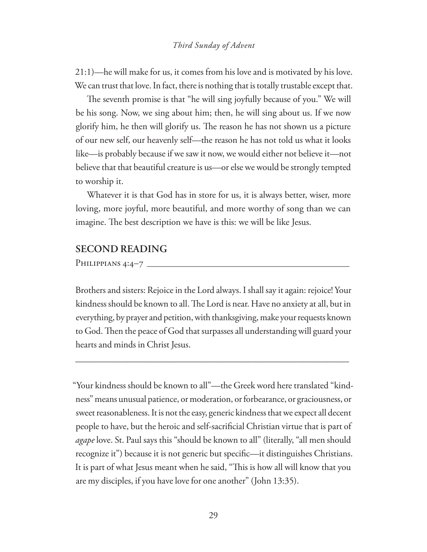21:1)—he will make for us, it comes from his love and is motivated by his love. We can trust that love. In fact, there is nothing that is totally trustable except that.

The seventh promise is that "he will sing joyfully because of you." We will be his song. Now, we sing about him; then, he will sing about us. If we now glorify him, he then will glorify us. The reason he has not shown us a picture of our new self, our heavenly self—the reason he has not told us what it looks like—is probably because if we saw it now, we would either not believe it—not believe that that beautiful creature is us—or else we would be strongly tempted to worship it.

Whatever it is that God has in store for us, it is always better, wiser, more loving, more joyful, more beautiful, and more worthy of song than we can imagine. The best description we have is this: we will be like Jesus.

#### **SECOND READING**

Philippians 4:4–7

Brothers and sisters: Rejoice in the Lord always. I shall say it again: rejoice! Your kindness should be known to all. The Lord is near. Have no anxiety at all, but in everything, by prayer and petition, with thanksgiving, make your requests known to God. Then the peace of God that surpasses all understanding will guard your hearts and minds in Christ Jesus.

\_\_\_\_\_\_\_\_\_\_\_\_\_\_\_\_\_\_\_\_\_\_\_\_\_\_\_\_\_\_\_\_\_\_\_\_\_\_\_\_\_\_\_\_\_\_\_\_\_\_\_\_\_\_\_\_\_\_\_

"Your kindness should be known to all"—the Greek word here translated "kindness" means unusual patience, or moderation, or forbearance, or graciousness, or sweet reasonableness. It is not the easy, generic kindness that we expect all decent people to have, but the heroic and self-sacrificial Christian virtue that is part of *agape* love. St. Paul says this "should be known to all" (literally, "all men should recognize it") because it is not generic but specific—it distinguishes Christians. It is part of what Jesus meant when he said, "This is how all will know that you are my disciples, if you have love for one another" (John 13:35).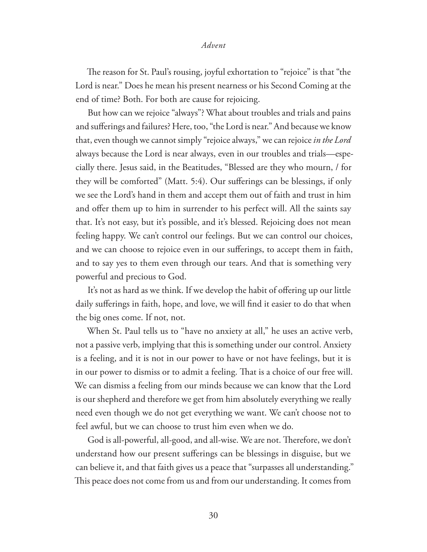The reason for St. Paul's rousing, joyful exhortation to "rejoice" is that "the Lord is near." Does he mean his present nearness or his Second Coming at the end of time? Both. For both are cause for rejoicing.

But how can we rejoice "always"? What about troubles and trials and pains and sufferings and failures? Here, too, "the Lord is near." And because we know that, even though we cannot simply "rejoice always," we can rejoice *in the Lord* always because the Lord is near always, even in our troubles and trials—especially there. Jesus said, in the Beatitudes, "Blessed are they who mourn, / for they will be comforted" (Matt. 5:4). Our sufferings can be blessings, if only we see the Lord's hand in them and accept them out of faith and trust in him and offer them up to him in surrender to his perfect will. All the saints say that. It's not easy, but it's possible, and it's blessed. Rejoicing does not mean feeling happy. We can't control our feelings. But we can control our choices, and we can choose to rejoice even in our sufferings, to accept them in faith, and to say yes to them even through our tears. And that is something very powerful and precious to God.

It's not as hard as we think. If we develop the habit of offering up our little daily sufferings in faith, hope, and love, we will find it easier to do that when the big ones come. If not, not.

When St. Paul tells us to "have no anxiety at all," he uses an active verb, not a passive verb, implying that this is something under our control. Anxiety is a feeling, and it is not in our power to have or not have feelings, but it is in our power to dismiss or to admit a feeling. That is a choice of our free will. We can dismiss a feeling from our minds because we can know that the Lord is our shepherd and therefore we get from him absolutely everything we really need even though we do not get everything we want. We can't choose not to feel awful, but we can choose to trust him even when we do.

God is all-powerful, all-good, and all-wise. We are not. Therefore, we don't understand how our present sufferings can be blessings in disguise, but we can believe it, and that faith gives us a peace that "surpasses all understanding." This peace does not come from us and from our understanding. It comes from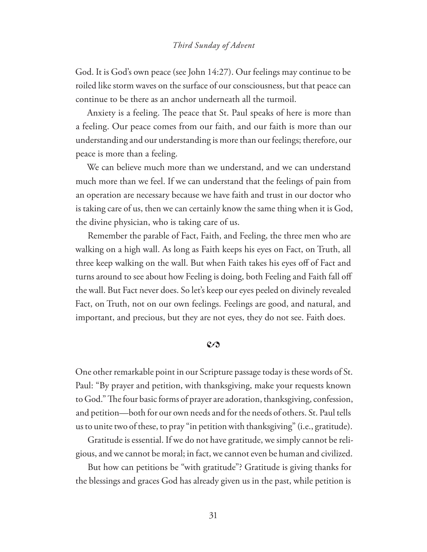#### *Third Sunday of Advent*

God. It is God's own peace (see John 14:27). Our feelings may continue to be roiled like storm waves on the surface of our consciousness, but that peace can continue to be there as an anchor underneath all the turmoil.

Anxiety is a feeling. The peace that St. Paul speaks of here is more than a feeling. Our peace comes from our faith, and our faith is more than our understanding and our understanding is more than our feelings; therefore, our peace is more than a feeling.

We can believe much more than we understand, and we can understand much more than we feel. If we can understand that the feelings of pain from an operation are necessary because we have faith and trust in our doctor who is taking care of us, then we can certainly know the same thing when it is God, the divine physician, who is taking care of us.

Remember the parable of Fact, Faith, and Feeling, the three men who are walking on a high wall. As long as Faith keeps his eyes on Fact, on Truth, all three keep walking on the wall. But when Faith takes his eyes off of Fact and turns around to see about how Feeling is doing, both Feeling and Faith fall off the wall. But Fact never does. So let's keep our eyes peeled on divinely revealed Fact, on Truth, not on our own feelings. Feelings are good, and natural, and important, and precious, but they are not eyes, they do not see. Faith does.

#### $\mathcal{C}$

One other remarkable point in our Scripture passage today is these words of St. Paul: "By prayer and petition, with thanksgiving, make your requests known to God." The four basic forms of prayer are adoration, thanksgiving, confession, and petition—both for our own needs and for the needs of others. St. Paul tells us to unite two of these, to pray "in petition with thanksgiving" (i.e., gratitude).

Gratitude is essential. If we do not have gratitude, we simply cannot be religious, and we cannot be moral; in fact, we cannot even be human and civilized.

But how can petitions be "with gratitude"? Gratitude is giving thanks for the blessings and graces God has already given us in the past, while petition is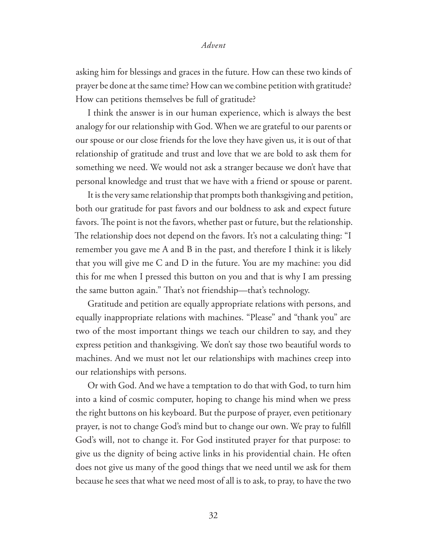asking him for blessings and graces in the future. How can these two kinds of prayer be done at the same time? How can we combine petition with gratitude? How can petitions themselves be full of gratitude?

I think the answer is in our human experience, which is always the best analogy for our relationship with God. When we are grateful to our parents or our spouse or our close friends for the love they have given us, it is out of that relationship of gratitude and trust and love that we are bold to ask them for something we need. We would not ask a stranger because we don't have that personal knowledge and trust that we have with a friend or spouse or parent.

It is the very same relationship that prompts both thanksgiving and petition, both our gratitude for past favors and our boldness to ask and expect future favors. The point is not the favors, whether past or future, but the relationship. The relationship does not depend on the favors. It's not a calculating thing: "I remember you gave me A and B in the past, and therefore I think it is likely that you will give me C and D in the future. You are my machine: you did this for me when I pressed this button on you and that is why I am pressing the same button again." That's not friendship—that's technology.

Gratitude and petition are equally appropriate relations with persons, and equally inappropriate relations with machines. "Please" and "thank you" are two of the most important things we teach our children to say, and they express petition and thanksgiving. We don't say those two beautiful words to machines. And we must not let our relationships with machines creep into our relationships with persons.

Or with God. And we have a temptation to do that with God, to turn him into a kind of cosmic computer, hoping to change his mind when we press the right buttons on his keyboard. But the purpose of prayer, even petitionary prayer, is not to change God's mind but to change our own. We pray to fulfill God's will, not to change it. For God instituted prayer for that purpose: to give us the dignity of being active links in his providential chain. He often does not give us many of the good things that we need until we ask for them because he sees that what we need most of all is to ask, to pray, to have the two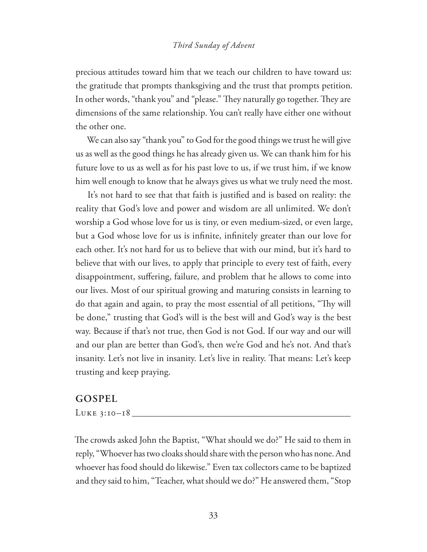#### *Third Sunday of Advent*

precious attitudes toward him that we teach our children to have toward us: the gratitude that prompts thanksgiving and the trust that prompts petition. In other words, "thank you" and "please." They naturally go together. They are dimensions of the same relationship. You can't really have either one without the other one.

We can also say "thank you" to God for the good things we trust he will give us as well as the good things he has already given us. We can thank him for his future love to us as well as for his past love to us, if we trust him, if we know him well enough to know that he always gives us what we truly need the most.

It's not hard to see that that faith is justified and is based on reality: the reality that God's love and power and wisdom are all unlimited. We don't worship a God whose love for us is tiny, or even medium-sized, or even large, but a God whose love for us is infinite, infinitely greater than our love for each other. It's not hard for us to believe that with our mind, but it's hard to believe that with our lives, to apply that principle to every test of faith, every disappointment, suffering, failure, and problem that he allows to come into our lives. Most of our spiritual growing and maturing consists in learning to do that again and again, to pray the most essential of all petitions, "Thy will be done," trusting that God's will is the best will and God's way is the best way. Because if that's not true, then God is not God. If our way and our will and our plan are better than God's, then we're God and he's not. And that's insanity. Let's not live in insanity. Let's live in reality. That means: Let's keep trusting and keep praying.

#### **GOSPEL**

Luke 3:10–18 **\_\_\_\_\_\_\_\_\_\_\_\_\_\_\_\_\_\_\_\_\_\_\_\_\_\_\_\_\_\_\_\_\_\_\_\_\_\_\_\_\_\_\_\_\_\_\_\_\_\_\_\_\_\_**

The crowds asked John the Baptist, "What should we do?" He said to them in reply, "Whoever has two cloaks should share with the person who has none. And whoever has food should do likewise." Even tax collectors came to be baptized and they said to him, "Teacher, what should we do?" He answered them, "Stop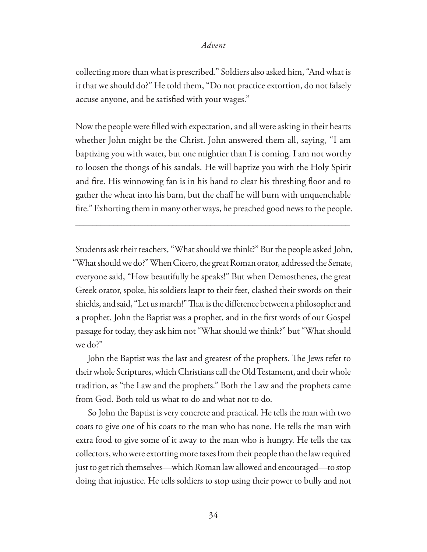collecting more than what is prescribed." Soldiers also asked him, "And what is it that we should do?" He told them, "Do not practice extortion, do not falsely accuse anyone, and be satisfied with your wages."

Now the people were #lled with expectation, and all were asking in their hearts whether John might be the Christ. John answered them all, saying, "I am baptizing you with water, but one mightier than I is coming. I am not worthy to loosen the thongs of his sandals. He will baptize you with the Holy Spirit and fire. His winnowing fan is in his hand to clear his threshing floor and to gather the wheat into his barn, but the chaff he will burn with unquenchable fire." Exhorting them in many other ways, he preached good news to the people.

\_\_\_\_\_\_\_\_\_\_\_\_\_\_\_\_\_\_\_\_\_\_\_\_\_\_\_\_\_\_\_\_\_\_\_\_\_\_\_\_\_\_\_\_\_\_\_\_\_\_\_\_\_\_\_\_\_\_\_\_\_\_\_\_\_

Students ask their teachers, "What should we think?" But the people asked John, "What should we do?" When Cicero, the great Roman orator, addressed the Senate, everyone said, "How beautifully he speaks!" But when Demosthenes, the great Greek orator, spoke, his soldiers leapt to their feet, clashed their swords on their shields, and said, "Let us march!" That is the difference between a philosopher and a prophet. John the Baptist was a prophet, and in the first words of our Gospel passage for today, they ask him not "What should we think?" but "What should we do?"

John the Baptist was the last and greatest of the prophets. The Jews refer to their whole Scriptures, which Christians call the Old Testament, and their whole tradition, as "the Law and the prophets." Both the Law and the prophets came from God. Both told us what to do and what not to do.

So John the Baptist is very concrete and practical. He tells the man with two coats to give one of his coats to the man who has none. He tells the man with extra food to give some of it away to the man who is hungry. He tells the tax collectors, who were extorting more taxes from their people than the law required just to get rich themselves—which Roman law allowed and encouraged—to stop doing that injustice. He tells soldiers to stop using their power to bully and not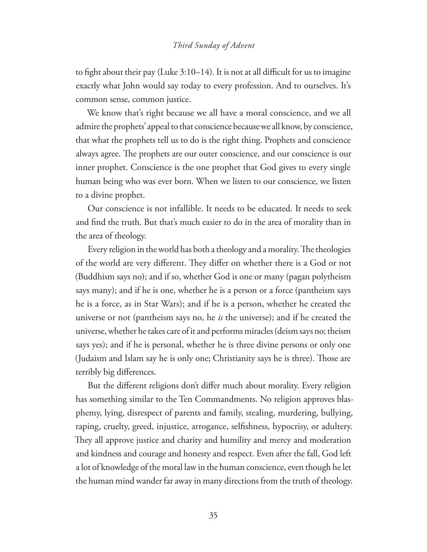#### *Third Sunday of Advent*

to fight about their pay (Luke  $3:10-14$ ). It is not at all difficult for us to imagine exactly what John would say today to every profession. And to ourselves. It's common sense, common justice.

We know that's right because we all have a moral conscience, and we all admire the prophets' appeal to that conscience because we all know, by conscience, that what the prophets tell us to do is the right thing. Prophets and conscience always agree. The prophets are our outer conscience, and our conscience is our inner prophet. Conscience is the one prophet that God gives to every single human being who was ever born. When we listen to our conscience, we listen to a divine prophet.

Our conscience is not infallible. It needs to be educated. It needs to seek and find the truth. But that's much easier to do in the area of morality than in the area of theology.

Every religion in the world has both a theology and a morality. The theologies of the world are very different. They differ on whether there is a God or not (Buddhism says no); and if so, whether God is one or many (pagan polytheism says many); and if he is one, whether he is a person or a force (pantheism says he is a force, as in Star Wars); and if he is a person, whether he created the universe or not (pantheism says no, he *is* the universe); and if he created the universe, whether he takes care of it and performs miracles (deism says no; theism says yes); and if he is personal, whether he is three divine persons or only one (Judaism and Islam say he is only one; Christianity says he is three). Those are terribly big differences.

But the different religions don't differ much about morality. Every religion has something similar to the Ten Commandments. No religion approves blasphemy, lying, disrespect of parents and family, stealing, murdering, bullying, raping, cruelty, greed, injustice, arrogance, selfishness, hypocrisy, or adultery. They all approve justice and charity and humility and mercy and moderation and kindness and courage and honesty and respect. Even after the fall, God left a lot of knowledge of the moral law in the human conscience, even though he let the human mind wander far away in many directions from the truth of theology.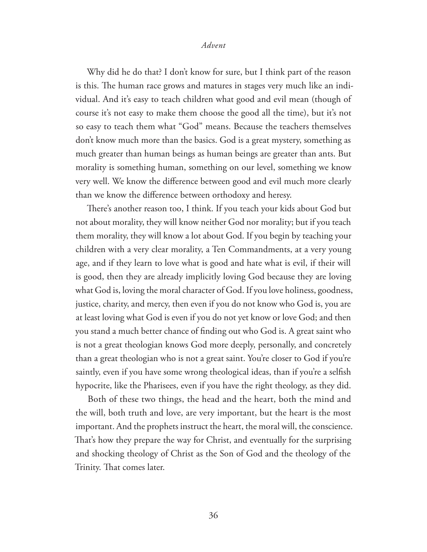Why did he do that? I don't know for sure, but I think part of the reason is this. The human race grows and matures in stages very much like an individual. And it's easy to teach children what good and evil mean (though of course it's not easy to make them choose the good all the time), but it's not so easy to teach them what "God" means. Because the teachers themselves don't know much more than the basics. God is a great mystery, something as much greater than human beings as human beings are greater than ants. But morality is something human, something on our level, something we know very well. We know the difference between good and evil much more clearly than we know the difference between orthodoxy and heresy.

There's another reason too, I think. If you teach your kids about God but not about morality, they will know neither God nor morality; but if you teach them morality, they will know a lot about God. If you begin by teaching your children with a very clear morality, a Ten Commandments, at a very young age, and if they learn to love what is good and hate what is evil, if their will is good, then they are already implicitly loving God because they are loving what God is, loving the moral character of God. If you love holiness, goodness, justice, charity, and mercy, then even if you do not know who God is, you are at least loving what God is even if you do not yet know or love God; and then you stand a much better chance of finding out who God is. A great saint who is not a great theologian knows God more deeply, personally, and concretely than a great theologian who is not a great saint. You're closer to God if you're saintly, even if you have some wrong theological ideas, than if you're a selfish hypocrite, like the Pharisees, even if you have the right theology, as they did.

Both of these two things, the head and the heart, both the mind and the will, both truth and love, are very important, but the heart is the most important. And the prophets instruct the heart, the moral will, the conscience. That's how they prepare the way for Christ, and eventually for the surprising and shocking theology of Christ as the Son of God and the theology of the Trinity. That comes later.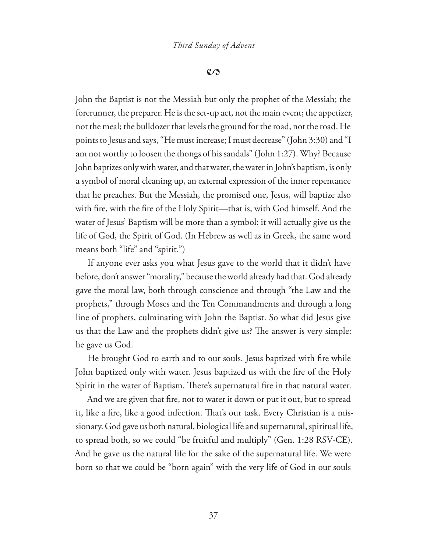#### $\mathcal{C}$

John the Baptist is not the Messiah but only the prophet of the Messiah; the forerunner, the preparer. He is the set-up act, not the main event; the appetizer, not the meal; the bulldozer that levels the ground for the road, not the road. He points to Jesus and says, "He must increase; I must decrease" (John 3:30) and "I am not worthy to loosen the thongs of his sandals" (John 1:27). Why? Because John baptizes only with water, and that water, the water in John's baptism, is only a symbol of moral cleaning up, an external expression of the inner repentance that he preaches. But the Messiah, the promised one, Jesus, will baptize also with fire, with the fire of the Holy Spirit—that is, with God himself. And the water of Jesus' Baptism will be more than a symbol: it will actually give us the life of God, the Spirit of God. (In Hebrew as well as in Greek, the same word means both "life" and "spirit.")

If anyone ever asks you what Jesus gave to the world that it didn't have before, don't answer "morality," because the world already had that. God already gave the moral law, both through conscience and through "the Law and the prophets," through Moses and the Ten Commandments and through a long line of prophets, culminating with John the Baptist. So what did Jesus give us that the Law and the prophets didn't give us? The answer is very simple: he gave us God.

He brought God to earth and to our souls. Jesus baptized with fire while John baptized only with water. Jesus baptized us with the fire of the Holy Spirit in the water of Baptism. There's supernatural fire in that natural water.

And we are given that fire, not to water it down or put it out, but to spread it, like a fire, like a good infection. That's our task. Every Christian is a missionary. God gave us both natural, biological life and supernatural, spiritual life, to spread both, so we could "be fruitful and multiply" (Gen. 1:28 RSV-CE). And he gave us the natural life for the sake of the supernatural life. We were born so that we could be "born again" with the very life of God in our souls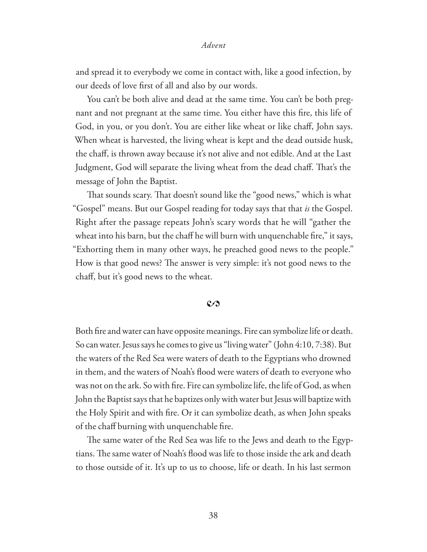and spread it to everybody we come in contact with, like a good infection, by our deeds of love first of all and also by our words.

You can't be both alive and dead at the same time. You can't be both pregnant and not pregnant at the same time. You either have this fire, this life of God, in you, or you don't. You are either like wheat or like chaff, John says. When wheat is harvested, the living wheat is kept and the dead outside husk, the chaff, is thrown away because it's not alive and not edible. And at the Last Judgment, God will separate the living wheat from the dead chaff. That's the message of John the Baptist.

That sounds scary. That doesn't sound like the "good news," which is what "Gospel" means. But our Gospel reading for today says that that *is* the Gospel. Right after the passage repeats John's scary words that he will "gather the wheat into his barn, but the chaff he will burn with unquenchable fire," it says, "Exhorting them in many other ways, he preached good news to the people." How is that good news? The answer is very simple: it's not good news to the chaff, but it's good news to the wheat.

#### $\mathcal{C}$

Both fire and water can have opposite meanings. Fire can symbolize life or death. So can water. Jesus says he comes to give us "living water" (John 4:10, 7:38). But the waters of the Red Sea were waters of death to the Egyptians who drowned in them, and the waters of Noah's flood were waters of death to everyone who was not on the ark. So with fire. Fire can symbolize life, the life of God, as when John the Baptist says that he baptizes only with water but Jesus will baptize with the Holy Spirit and with fire. Or it can symbolize death, as when John speaks of the chaff burning with unquenchable fire.

The same water of the Red Sea was life to the Jews and death to the Egyptians. The same water of Noah's flood was life to those inside the ark and death to those outside of it. It's up to us to choose, life or death. In his last sermon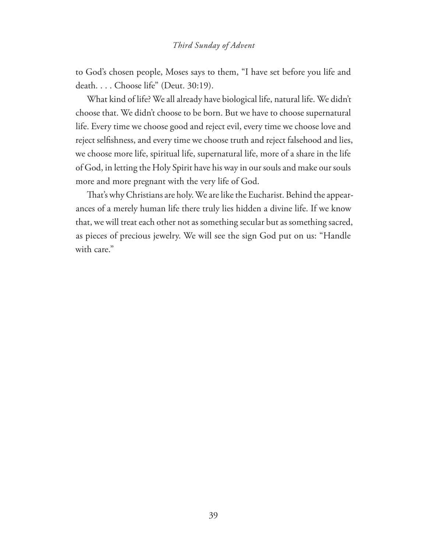#### *Third Sunday of Advent*

to God's chosen people, Moses says to them, "I have set before you life and death. . . . Choose life" (Deut. 30:19).

What kind of life? We all already have biological life, natural life. We didn't choose that. We didn't choose to be born. But we have to choose supernatural life. Every time we choose good and reject evil, every time we choose love and reject selfishness, and every time we choose truth and reject falsehood and lies, we choose more life, spiritual life, supernatural life, more of a share in the life of God, in letting the Holy Spirit have his way in our souls and make our souls more and more pregnant with the very life of God.

That's why Christians are holy. We are like the Eucharist. Behind the appearances of a merely human life there truly lies hidden a divine life. If we know that, we will treat each other not as something secular but as something sacred, as pieces of precious jewelry. We will see the sign God put on us: "Handle with care."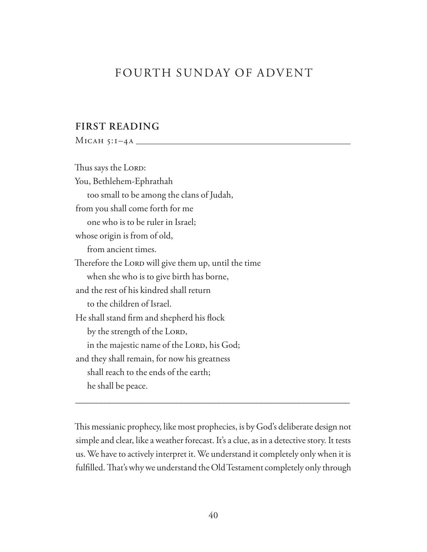## FOURTH SUNDAY OF ADVENT

#### **FIRST READING**

Micah 5:1–4a **\_\_\_\_\_\_\_\_\_\_\_\_\_\_\_\_\_\_\_\_\_\_\_\_\_\_\_\_\_\_\_\_\_\_\_\_\_\_\_\_\_\_\_\_\_\_\_\_\_\_\_\_\_**

Thus says the LORD: You, Bethlehem-Ephrathah too small to be among the clans of Judah, from you shall come forth for me one who is to be ruler in Israel; whose origin is from of old, from ancient times. Therefore the LORD will give them up, until the time when she who is to give birth has borne, and the rest of his kindred shall return to the children of Israel. He shall stand firm and shepherd his flock by the strength of the LORD, in the majestic name of the LORD, his God; and they shall remain, for now his greatness shall reach to the ends of the earth; he shall be peace.

This messianic prophecy, like most prophecies, is by God's deliberate design not simple and clear, like a weather forecast. It's a clue, as in a detective story. It tests us. We have to actively interpret it. We understand it completely only when it is fulfilled. That's why we understand the Old Testament completely only through

\_\_\_\_\_\_\_\_\_\_\_\_\_\_\_\_\_\_\_\_\_\_\_\_\_\_\_\_\_\_\_\_\_\_\_\_\_\_\_\_\_\_\_\_\_\_\_\_\_\_\_\_\_\_\_\_\_\_\_\_\_\_\_\_\_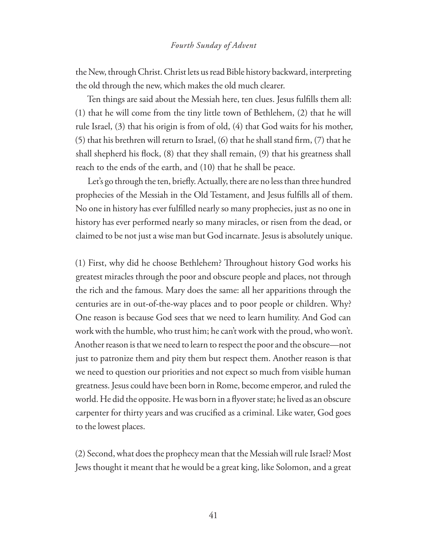#### *Fourth Sunday of Advent*

the New, through Christ. Christ lets us read Bible history backward, interpreting the old through the new, which makes the old much clearer.

Ten things are said about the Messiah here, ten clues. Jesus fulfills them all: (1) that he will come from the tiny little town of Bethlehem, (2) that he will rule Israel, (3) that his origin is from of old, (4) that God waits for his mother,  $(5)$  that his brethren will return to Israel,  $(6)$  that he shall stand firm,  $(7)$  that he shall shepherd his flock,  $(8)$  that they shall remain,  $(9)$  that his greatness shall reach to the ends of the earth, and (10) that he shall be peace.

Let's go through the ten, briefly. Actually, there are no less than three hundred prophecies of the Messiah in the Old Testament, and Jesus fulfills all of them. No one in history has ever fulfilled nearly so many prophecies, just as no one in history has ever performed nearly so many miracles, or risen from the dead, or claimed to be not just a wise man but God incarnate. Jesus is absolutely unique.

(1) First, why did he choose Bethlehem? Throughout history God works his greatest miracles through the poor and obscure people and places, not through the rich and the famous. Mary does the same: all her apparitions through the centuries are in out-of-the-way places and to poor people or children. Why? One reason is because God sees that we need to learn humility. And God can work with the humble, who trust him; he can't work with the proud, who won't. Another reason is that we need to learn to respect the poor and the obscure—not just to patronize them and pity them but respect them. Another reason is that we need to question our priorities and not expect so much from visible human greatness. Jesus could have been born in Rome, become emperor, and ruled the world. He did the opposite. He was born in a flyover state; he lived as an obscure carpenter for thirty years and was crucified as a criminal. Like water, God goes to the lowest places.

(2) Second, what does the prophecy mean that the Messiah will rule Israel? Most Jews thought it meant that he would be a great king, like Solomon, and a great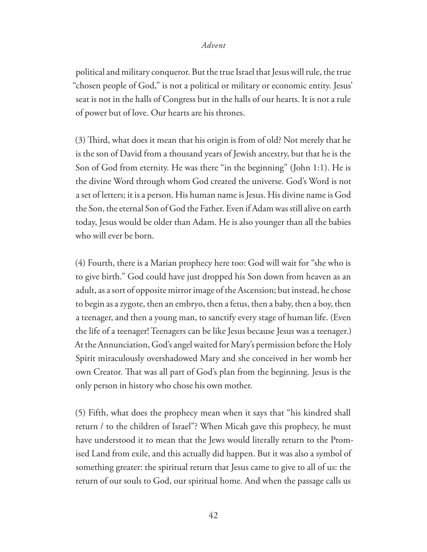political and military conqueror. But the true Israel that Jesus will rule, the true "chosen people of God," is not a political or military or economic entity. Jesus' seat is not in the halls of Congress but in the halls of our hearts. It is not a rule of power but of love. Our hearts are his thrones.

 $(3)$  Third, what does it mean that his origin is from of old? Not merely that he is the son of David from a thousand years of Jewish ancestry, but that he is the Son of God from eternity. He was there "in the beginning" (John 1:1). He is the divine Word through whom God created the universe. God's Word is not a set of letters; it is a person. His human name is Jesus. His divine name is God the Son, the eternal Son of God the Father. Even if Adam was still alive on earth today, Jesus would be older than Adam. He is also younger than all the babies who will ever be born.

(4) Fourth, there is a Marian prophecy here too: God will wait for "she who is to give birth." God could have just dropped his Son down from heaven as an adult, as a sort of opposite mirror image of the Ascension; but instead, he chose to begin as a zygote, then an embryo, then a fetus, then a baby, then a boy, then a teenager, and then a young man, to sanctify every stage of human life. (Even the life of a teenager! Teenagers can be like Jesus because Jesus was a teenager.) At the Annunciation, God's angel waited for Mary's permission before the Holy Spirit miraculously overshadowed Mary and she conceived in her womb her own Creator. That was all part of God's plan from the beginning. Jesus is the only person in history who chose his own mother.

(5) Fifth, what does the prophecy mean when it says that "his kindred shall return / to the children of Israel"? When Micah gave this prophecy, he must have understood it to mean that the Jews would literally return to the Promised Land from exile, and this actually did happen. But it was also a symbol of something greater: the spiritual return that Jesus came to give to all of us: the return of our souls to God, our spiritual home. And when the passage calls us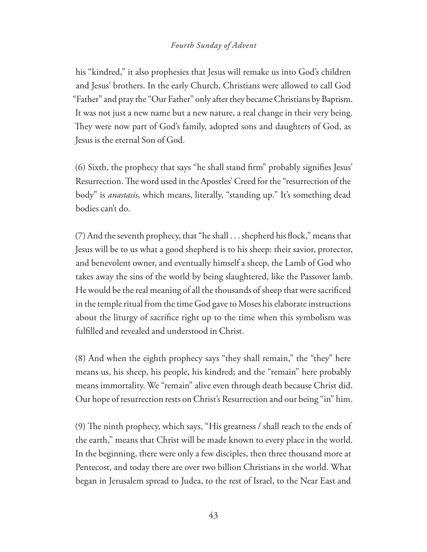#### *Fourth Sunday of Advent*

his "kindred," it also prophesies that Jesus will remake us into God's children and Jesus' brothers. In the early Church, Christians were allowed to call God "Father" and pray the "Our Father" only after they became Christians by Baptism. It was not just a new name but a new nature, a real change in their very being. They were now part of God's family, adopted sons and daughters of God, as Jesus is the eternal Son of God.

(6) Sixth, the prophecy that says "he shall stand firm" probably signifies Jesus' Resurrection. The word used in the Apostles' Creed for the "resurrection of the body" is *anastasis*, which means, literally, "standing up." It's something dead bodies can't do.

 $(7)$  And the seventh prophecy, that "he shall  $\ldots$  shepherd his flock," means that Jesus will be to us what a good shepherd is to his sheep: their savior, protector, and benevolent owner, and eventually himself a sheep, the Lamb of God who takes away the sins of the world by being slaughtered, like the Passover lamb. He would be the real meaning of all the thousands of sheep that were sacrificed in the temple ritual from the time God gave to Moses his elaborate instructions about the liturgy of sacrifice right up to the time when this symbolism was ful filled and revealed and understood in Christ.

(8) And when the eighth prophecy says "they shall remain," the "they" here means us, his sheep, his people, his kindred; and the "remain" here probably means immortality. We "remain" alive even through death because Christ did. Our hope of resurrection rests on Christ's Resurrection and our being "in" him.

(9) The ninth prophecy, which says, "His greatness / shall reach to the ends of the earth," means that Christ will be made known to every place in the world. In the beginning, there were only a few disciples, then three thousand more at Pentecost, and today there are over two billion Christians in the world. What began in Jerusalem spread to Judea, to the rest of Israel, to the Near East and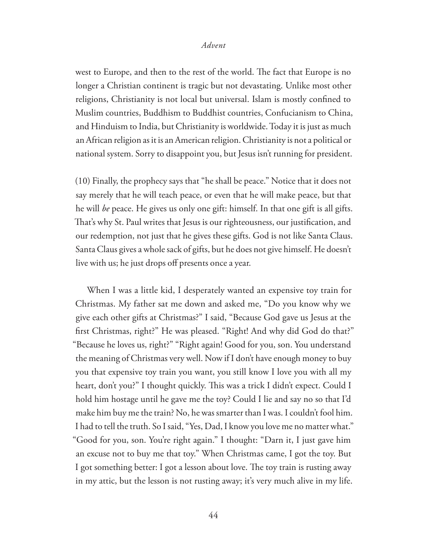west to Europe, and then to the rest of the world. The fact that Europe is no longer a Christian continent is tragic but not devastating. Unlike most other religions, Christianity is not local but universal. Islam is mostly confined to Muslim countries, Buddhism to Buddhist countries, Confucianism to China, and Hinduism to India, but Christianity is worldwide. Today it is just as much an African religion as it is an American religion. Christianity is not a political or national system. Sorry to disappoint you, but Jesus isn't running for president.

(10) Finally, the prophecy says that "he shall be peace." Notice that it does not say merely that he will teach peace, or even that he will make peace, but that he will *be* peace. He gives us only one gift: himself. In that one gift is all gifts. That's why St. Paul writes that Jesus is our righteousness, our justification, and our redemption, not just that he gives these gifts. God is not like Santa Claus. Santa Claus gives a whole sack of gifts, but he does not give himself. He doesn't live with us; he just drops off presents once a year.

When I was a little kid, I desperately wanted an expensive toy train for Christmas. My father sat me down and asked me, "Do you know why we give each other gifts at Christmas?" I said, "Because God gave us Jesus at the first Christmas, right?" He was pleased. "Right! And why did God do that?" "Because he loves us, right?" "Right again! Good for you, son. You understand the meaning of Christmas very well. Now if I don't have enough money to buy you that expensive toy train you want, you still know I love you with all my heart, don't you?" I thought quickly. This was a trick I didn't expect. Could I hold him hostage until he gave me the toy? Could I lie and say no so that I'd make him buy me the train? No, he was smarter than I was. I couldn't fool him. I had to tell the truth. So I said, "Yes, Dad, I know you love me no matter what." "Good for you, son. You're right again." I thought: "Darn it, I just gave him an excuse not to buy me that toy." When Christmas came, I got the toy. But I got something better: I got a lesson about love. The toy train is rusting away in my attic, but the lesson is not rusting away; it's very much alive in my life.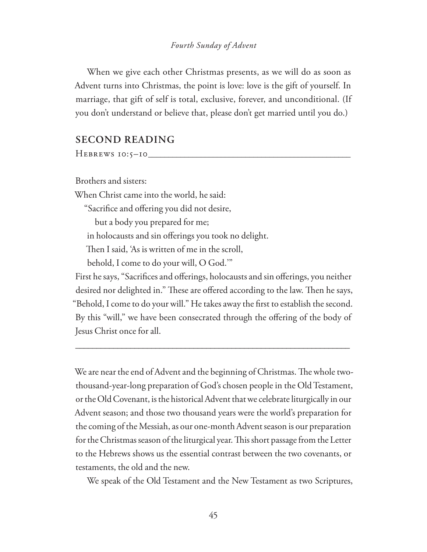#### *Fourth Sunday of Advent*

When we give each other Christmas presents, as we will do as soon as Advent turns into Christmas, the point is love: love is the gift of yourself. In marriage, that gift of self is total, exclusive, forever, and unconditional. (If you don't understand or believe that, please don't get married until you do.)

#### **SECOND READING**

Hebrews 10:5–10**\_\_\_\_\_\_\_\_\_\_\_\_\_\_\_\_\_\_\_\_\_\_\_\_\_\_\_\_\_\_\_\_\_\_\_\_\_\_\_\_\_\_\_\_\_\_\_\_\_\_**

Brothers and sisters:

When Christ came into the world, he said:

"Sacrifice and offering you did not desire,

but a body you prepared for me;

in holocausts and sin offerings you took no delight.

Then I said, 'As is written of me in the scroll,

behold, I come to do your will, O God.'"

First he says, "Sacrifices and offerings, holocausts and sin offerings, you neither desired nor delighted in." These are offered according to the law. Then he says, "Behold, I come to do your will." He takes away the #rst to establish the second. By this "will," we have been consecrated through the offering of the body of Jesus Christ once for all.

\_\_\_\_\_\_\_\_\_\_\_\_\_\_\_\_\_\_\_\_\_\_\_\_\_\_\_\_\_\_\_\_\_\_\_\_\_\_\_\_\_\_\_\_\_\_\_\_\_\_\_\_\_\_\_\_\_\_\_\_\_\_\_\_\_

We are near the end of Advent and the beginning of Christmas. The whole twothousand-year-long preparation of God's chosen people in the Old Testament, or the Old Covenant, is the historical Advent that we celebrate liturgically in our Advent season; and those two thousand years were the world's preparation for the coming of the Messiah, as our one-month Advent season is our preparation for the Christmas season of the liturgical year. This short passage from the Letter to the Hebrews shows us the essential contrast between the two covenants, or testaments, the old and the new.

We speak of the Old Testament and the New Testament as two Scriptures,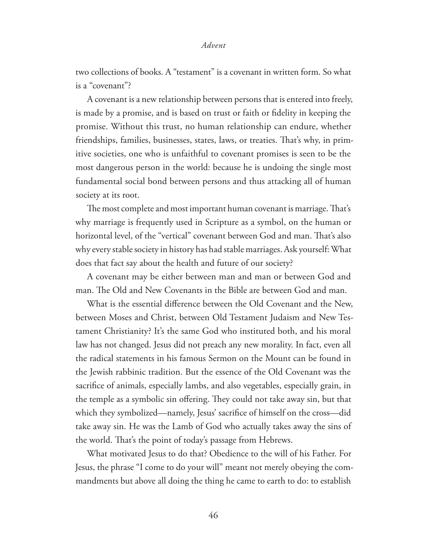two collections of books. A "testament" is a covenant in written form. So what is a "covenant"?

A covenant is a new relationship between persons that is entered into freely, is made by a promise, and is based on trust or faith or #delity in keeping the promise. Without this trust, no human relationship can endure, whether friendships, families, businesses, states, laws, or treaties. That's why, in primitive societies, one who is unfaithful to covenant promises is seen to be the most dangerous person in the world: because he is undoing the single most fundamental social bond between persons and thus attacking all of human society at its root.

The most complete and most important human covenant is marriage. That's why marriage is frequently used in Scripture as a symbol, on the human or horizontal level, of the "vertical" covenant between God and man. That's also why every stable society in history has had stable marriages. Ask yourself: What does that fact say about the health and future of our society?

A covenant may be either between man and man or between God and man. The Old and New Covenants in the Bible are between God and man.

What is the essential difference between the Old Covenant and the New, between Moses and Christ, between Old Testament Judaism and New Testament Christianity? It's the same God who instituted both, and his moral law has not changed. Jesus did not preach any new morality. In fact, even all the radical statements in his famous Sermon on the Mount can be found in the Jewish rabbinic tradition. But the essence of the Old Covenant was the sacrifice of animals, especially lambs, and also vegetables, especially grain, in the temple as a symbolic sin offering. They could not take away sin, but that which they symbolized—namely, Jesus' sacrifice of himself on the cross—did take away sin. He was the Lamb of God who actually takes away the sins of the world. That's the point of today's passage from Hebrews.

What motivated Jesus to do that? Obedience to the will of his Father. For Jesus, the phrase "I come to do your will" meant not merely obeying the commandments but above all doing the thing he came to earth to do: to establish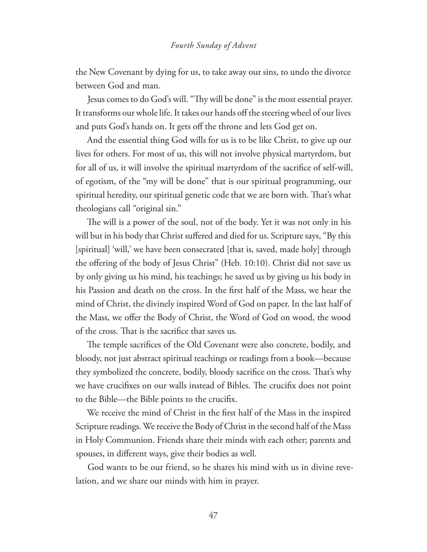the New Covenant by dying for us, to take away our sins, to undo the divorce between God and man.

Jesus comes to do God's will. "Thy will be done" is the most essential prayer. It transforms our whole life. It takes our hands off the steering wheel of our lives and puts God's hands on. It gets off the throne and lets God get on.

And the essential thing God wills for us is to be like Christ, to give up our lives for others. For most of us, this will not involve physical martyrdom, but for all of us, it will involve the spiritual martyrdom of the sacrifice of self-will, of egotism, of the "my will be done" that is our spiritual programming, our spiritual heredity, our spiritual genetic code that we are born with. That's what theologians call "original sin."

The will is a power of the soul, not of the body. Yet it was not only in his will but in his body that Christ suffered and died for us. Scripture says, "By this [spiritual] 'will,' we have been consecrated [that is, saved, made holy] through the offering of the body of Jesus Christ" (Heb. 10:10). Christ did not save us by only giving us his mind, his teachings; he saved us by giving us his body in his Passion and death on the cross. In the first half of the Mass, we hear the mind of Christ, the divinely inspired Word of God on paper. In the last half of the Mass, we offer the Body of Christ, the Word of God on wood, the wood of the cross. That is the sacrifice that saves us.

The temple sacrifices of the Old Covenant were also concrete, bodily, and bloody, not just abstract spiritual teachings or readings from a book—because they symbolized the concrete, bodily, bloody sacrifice on the cross. That's why we have crucifixes on our walls instead of Bibles. The crucifix does not point to the Bible—the Bible points to the crucifix.

We receive the mind of Christ in the first half of the Mass in the inspired Scripture readings. We receive the Body of Christ in the second half of the Mass in Holy Communion. Friends share their minds with each other; parents and spouses, in different ways, give their bodies as well.

God wants to be our friend, so he shares his mind with us in divine revelation, and we share our minds with him in prayer.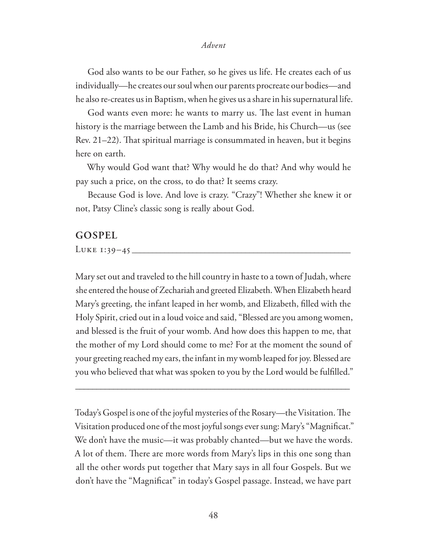God also wants to be our Father, so he gives us life. He creates each of us individually—he creates our soul when our parents procreate our bodies—and he also re-creates us in Baptism, when he gives us a share in his supernatural life.

God wants even more: he wants to marry us. The last event in human history is the marriage between the Lamb and his Bride, his Church—us (see Rev.  $21-22$ ). That spiritual marriage is consummated in heaven, but it begins here on earth.

Why would God want that? Why would he do that? And why would he pay such a price, on the cross, to do that? It seems crazy.

Because God is love. And love is crazy. "Crazy"! Whether she knew it or not, Patsy Cline's classic song is really about God.

#### **GOSPEL**

Luke 1:39–45 **\_\_\_\_\_\_\_\_\_\_\_\_\_\_\_\_\_\_\_\_\_\_\_\_\_\_\_\_\_\_\_\_\_\_\_\_\_\_\_\_\_\_\_\_\_\_\_\_\_\_\_\_\_\_**

Mary set out and traveled to the hill country in haste to a town of Judah, where she entered the house of Zechariah and greeted Elizabeth. When Elizabeth heard Mary's greeting, the infant leaped in her womb, and Elizabeth, #lled with the Holy Spirit, cried out in a loud voice and said, "Blessed are you among women, and blessed is the fruit of your womb. And how does this happen to me, that the mother of my Lord should come to me? For at the moment the sound of your greeting reached my ears, the infant in my womb leaped for joy. Blessed are you who believed that what was spoken to you by the Lord would be fulfilled."

Today's Gospel is one of the joyful mysteries of the Rosary—the Visitation. The Visitation produced one of the most joyful songs ever sung: Mary's "Magnificat." We don't have the music—it was probably chanted—but we have the words. A lot of them. There are more words from Mary's lips in this one song than all the other words put together that Mary says in all four Gospels. But we don't have the "Magnificat" in today's Gospel passage. Instead, we have part

\_\_\_\_\_\_\_\_\_\_\_\_\_\_\_\_\_\_\_\_\_\_\_\_\_\_\_\_\_\_\_\_\_\_\_\_\_\_\_\_\_\_\_\_\_\_\_\_\_\_\_\_\_\_\_\_\_\_\_\_\_\_\_\_\_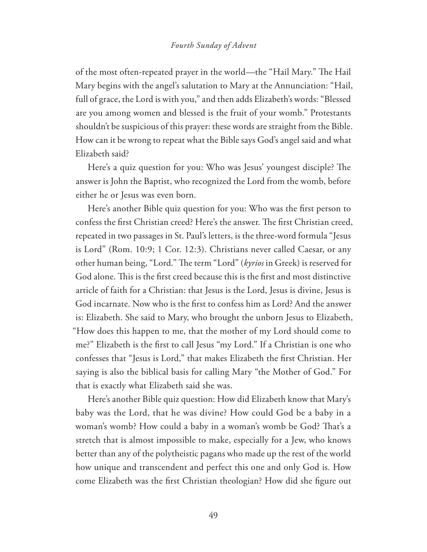#### *Fourth Sunday of Advent*

of the most often-repeated prayer in the world—the "Hail Mary." The Hail Mary begins with the angel's salutation to Mary at the Annunciation: "Hail, full of grace, the Lord is with you," and then adds Elizabeth's words: "Blessed are you among women and blessed is the fruit of your womb." Protestants shouldn't be suspicious of this prayer: these words are straight from the Bible. How can it be wrong to repeat what the Bible says God's angel said and what Elizabeth said?

Here's a quiz question for you: Who was Jesus' youngest disciple? The answer is John the Baptist, who recognized the Lord from the womb, before either he or Jesus was even born.

Here's another Bible quiz question for you: Who was the first person to confess the first Christian creed? Here's the answer. The first Christian creed, repeated in two passages in St. Paul's letters, is the three-word formula "Jesus is Lord" (Rom. 10:9; 1 Cor. 12:3). Christians never called Caesar, or any other human being, "Lord." The term "Lord" (*kyrios* in Greek) is reserved for God alone. This is the first creed because this is the first and most distinctive article of faith for a Christian: that Jesus is the Lord, Jesus is divine, Jesus is God incarnate. Now who is the first to confess him as Lord? And the answer is: Elizabeth. She said to Mary, who brought the unborn Jesus to Elizabeth, "How does this happen to me, that the mother of my Lord should come to me?" Elizabeth is the first to call Jesus "my Lord." If a Christian is one who confesses that "Jesus is Lord," that makes Elizabeth the first Christian. Her saying is also the biblical basis for calling Mary "the Mother of God." For that is exactly what Elizabeth said she was.

Here's another Bible quiz question: How did Elizabeth know that Mary's baby was the Lord, that he was divine? How could God be a baby in a woman's womb? How could a baby in a woman's womb be God? That's a stretch that is almost impossible to make, especially for a Jew, who knows better than any of the polytheistic pagans who made up the rest of the world how unique and transcendent and perfect this one and only God is. How come Elizabeth was the first Christian theologian? How did she figure out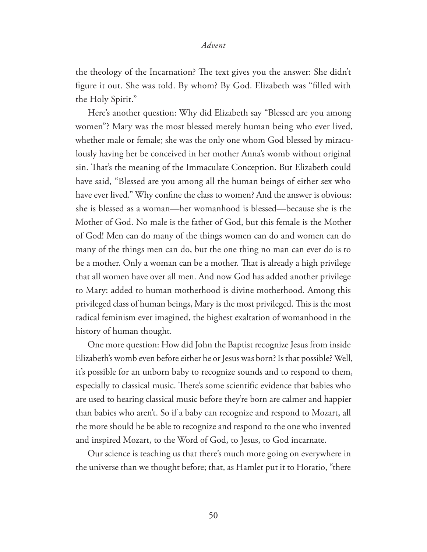the theology of the Incarnation? The text gives you the answer: She didn't figure it out. She was told. By whom? By God. Elizabeth was "filled with the Holy Spirit."

Here's another question: Why did Elizabeth say "Blessed are you among women"? Mary was the most blessed merely human being who ever lived, whether male or female; she was the only one whom God blessed by miraculously having her be conceived in her mother Anna's womb without original sin. That's the meaning of the Immaculate Conception. But Elizabeth could have said, "Blessed are you among all the human beings of either sex who have ever lived." Why confine the class to women? And the answer is obvious: she is blessed as a woman—her womanhood is blessed—because she is the Mother of God. No male is the father of God, but this female is the Mother of God! Men can do many of the things women can do and women can do many of the things men can do, but the one thing no man can ever do is to be a mother. Only a woman can be a mother. That is already a high privilege that all women have over all men. And now God has added another privilege to Mary: added to human motherhood is divine motherhood. Among this privileged class of human beings, Mary is the most privileged. \$is is the most radical feminism ever imagined, the highest exaltation of womanhood in the history of human thought.

One more question: How did John the Baptist recognize Jesus from inside Elizabeth's womb even before either he or Jesus was born? Is that possible? Well, it's possible for an unborn baby to recognize sounds and to respond to them, especially to classical music. There's some scientific evidence that babies who are used to hearing classical music before they're born are calmer and happier than babies who aren't. So if a baby can recognize and respond to Mozart, all the more should he be able to recognize and respond to the one who invented and inspired Mozart, to the Word of God, to Jesus, to God incarnate.

Our science is teaching us that there's much more going on everywhere in the universe than we thought before; that, as Hamlet put it to Horatio, "there